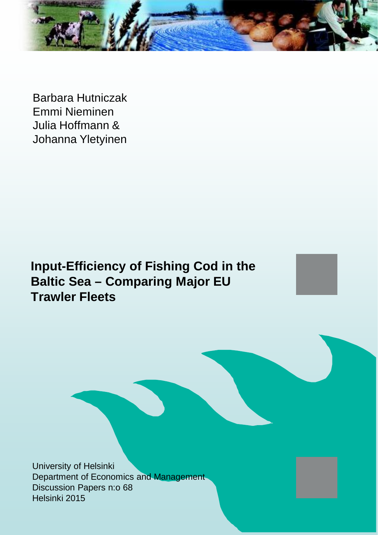

Barbara Hutniczak Emmi Nieminen Julia Hoffmann & Johanna Yletyinen

**Input-Efficiency of Fishing Cod in the Baltic Sea – Comparing Major EU Trawler Fleets**

University of Helsinki Department of Economics and Management Discussion Papers n:o 68 Helsinki 2015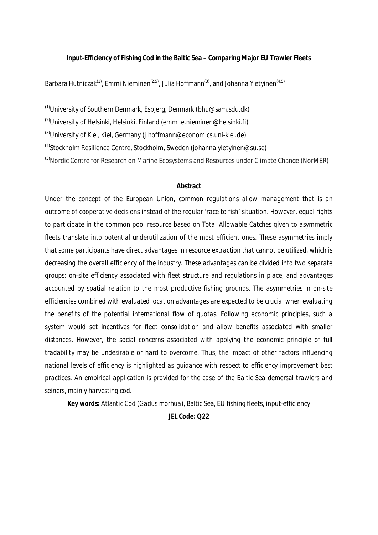**Input-Efficiency of Fishing Cod in the Baltic Sea – Comparing Major EU Trawler Fleets**

Barbara Hutniczak<sup>(1)</sup>, Emmi Nieminen<sup>(2,5)</sup>, Julia Hoffmann<sup>(3)</sup>, and Johanna Yletyinen<sup>(4,5)</sup>

 $(1)$ University of Southern Denmark, Esbjerg, Denmark (bhu@sam.sdu.dk)

<sup>(2)</sup>University of Helsinki, Helsinki, Finland (emmi.e.nieminen@helsinki.fi)

 $^{(3)}$ University of Kiel, Kiel, Germany (j.hoffmann@economics.uni-kiel.de)

 $^{(4)}$ Stockholm Resilience Centre, Stockholm, Sweden (johanna.yletyinen@su.se)

<sup>(5)</sup>Nordic Centre for Research on Marine Ecosystems and Resources under Climate Change (NorMER)

### **Abstract**

*Under the concept of the European Union, common regulations allow management that is an outcome of cooperative decisions instead of the regular 'race to fish' situation. However, equal rights to participate in the common pool resource based on Total Allowable Catches given to asymmetric fleets translate into potential underutilization of the most efficient ones. These asymmetries imply that some participants have direct advantages in resource extraction that cannot be utilized, which is decreasing the overall efficiency of the industry. These advantages can be divided into two separate groups: on-site efficiency associated with fleet structure and regulations in place, and advantages accounted by spatial relation to the most productive fishing grounds. The asymmetries in on-site efficiencies combined with evaluated location advantages are expected to be crucial when evaluating the benefits of the potential international flow of quotas. Following economic principles, such a system would set incentives for fleet consolidation and allow benefits associated with smaller distances. However, the social concerns associated with applying the economic principle of full tradability may be undesirable or hard to overcome. Thus, the impact of other factors influencing national levels of efficiency is highlighted as guidance with respect to efficiency improvement best practices. An empirical application is provided for the case of the Baltic Sea demersal trawlers and seiners, mainly harvesting cod.*

**Key words:** Atlantic Cod (*Gadus morhua*), Baltic Sea, EU fishing fleets, input-efficiency

**JEL Code: Q22**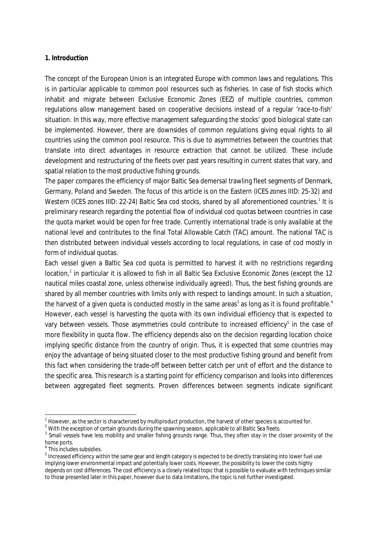### **1. Introduction**

The concept of the European Union is an integrated Europe with common laws and regulations. This is in particular applicable to common pool resources such as fisheries. In case of fish stocks which inhabit and migrate between Exclusive Economic Zones (EEZ) of multiple countries, common regulations allow management based on cooperative decisions instead of a regular 'race-to-fish' situation. In this way, more effective management safeguarding the stocks' good biological state can be implemented. However, there are downsides of common regulations giving equal rights to all countries using the common pool resource. This is due to asymmetries between the countries that translate into direct advantages in resource extraction that cannot be utilized. These include development and restructuring of the fleets over past years resulting in current states that vary, and spatial relation to the most productive fishing grounds.

The paper compares the efficiency of major Baltic Sea demersal trawling fleet segments of Denmark, Germany, Poland and Sweden. The focus of this article is on the Eastern (ICES zones IIID: 25-32) and Western (ICES zones IIID: 22-24) Baltic Sea cod stocks, shared by all aforementioned countries.<sup>1</sup> It is preliminary research regarding the potential flow of individual cod quotas between countries in case the quota market would be open for free trade. Currently international trade is only available at the national level and contributes to the final Total Allowable Catch (TAC) amount. The national TAC is then distributed between individual vessels according to local regulations, in case of cod mostly in form of individual quotas.

Each vessel given a Baltic Sea cod quota is permitted to harvest it with no restrictions regarding location,<sup>2</sup> in particular it is allowed to fish in all Baltic Sea Exclusive Economic Zones (except the 12 nautical miles coastal zone, unless otherwise individually agreed). Thus, the best fishing grounds are shared by all member countries with limits only with respect to landings amount. In such a situation, the harvest of a given quota is conducted mostly in the same areas<sup>3</sup> as long as it is found profitable.<sup>4</sup> However, each vessel is harvesting the quota with its own individual efficiency that is expected to vary between vessels. Those asymmetries could contribute to increased efficiency<sup>5</sup> in the case of more flexibility in quota flow. The efficiency depends also on the decision regarding location choice implying specific distance from the country of origin. Thus, it is expected that some countries may enjoy the advantage of being situated closer to the most productive fishing ground and benefit from this fact when considering the trade-off between better catch per unit of effort and the distance to the specific area. This research is a starting point for efficiency comparison and looks into differences between aggregated fleet segments. Proven differences between segments indicate significant

 $1$  However, as the sector is characterized by multiproduct production, the harvest of other species is accounted for.

 $^2$  With the exception of certain grounds during the spawning season, applicable to all Baltic Sea fleets.

<sup>&</sup>lt;sup>3</sup> Small vessels have less mobility and smaller fishing grounds range. Thus, they often stay in the closer proximity of the home ports.

<sup>4</sup> This includes subsidies.

 $^5$  Increased efficiency within the same gear and length category is expected to be directly translating into lower fuel use implying lower environmental impact and potentially lower costs. However, the possibility to lower the costs highly depends on cost differences. The cost efficiency is a closely related topic that is possible to evaluate with techniques similar to those presented later in this paper, however due to data limitations, the topic is not further investigated.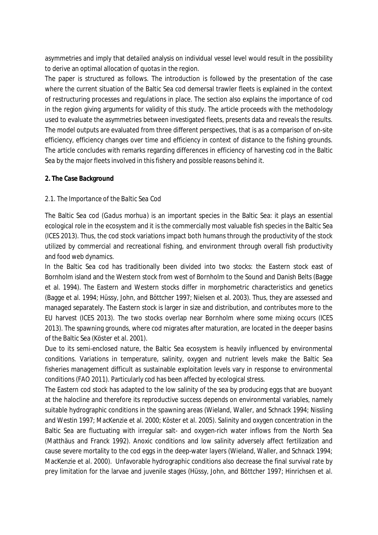asymmetries and imply that detailed analysis on individual vessel level would result in the possibility to derive an optimal allocation of quotas in the region.

The paper is structured as follows. The introduction is followed by the presentation of the case where the current situation of the Baltic Sea cod demersal trawler fleets is explained in the context of restructuring processes and regulations in place. The section also explains the importance of cod in the region giving arguments for validity of this study. The article proceeds with the methodology used to evaluate the asymmetries between investigated fleets, presents data and reveals the results. The model outputs are evaluated from three different perspectives, that is as a comparison of on-site efficiency, efficiency changes over time and efficiency in context of distance to the fishing grounds. The article concludes with remarks regarding differences in efficiency of harvesting cod in the Baltic Sea by the major fleets involved in this fishery and possible reasons behind it.

## **2. The Case Background**

# *2.1. The Importance of the Baltic Sea Cod*

The Baltic Sea cod (*Gadus morhua*) is an important species in the Baltic Sea: it plays an essential ecological role in the ecosystem and it is the commercially most valuable fish species in the Baltic Sea (ICES 2013). Thus, the cod stock variations impact both humans through the productivity of the stock utilized by commercial and recreational fishing, and environment through overall fish productivity and food web dynamics.

In the Baltic Sea cod has traditionally been divided into two stocks: the Eastern stock east of Bornholm island and the Western stock from west of Bornholm to the Sound and Danish Belts (Bagge et al. 1994). The Eastern and Western stocks differ in morphometric characteristics and genetics (Bagge et al. 1994; Hüssy, John, and Böttcher 1997; Nielsen et al. 2003). Thus, they are assessed and managed separately. The Eastern stock is larger in size and distribution, and contributes more to the EU harvest (ICES 2013). The two stocks overlap near Bornholm where some mixing occurs (ICES 2013). The spawning grounds, where cod migrates after maturation, are located in the deeper basins of the Baltic Sea (Köster et al. 2001).

Due to its semi-enclosed nature, the Baltic Sea ecosystem is heavily influenced by environmental conditions. Variations in temperature, salinity, oxygen and nutrient levels make the Baltic Sea fisheries management difficult as sustainable exploitation levels vary in response to environmental conditions (FAO 2011). Particularly cod has been affected by ecological stress.

The Eastern cod stock has adapted to the low salinity of the sea by producing eggs that are buoyant at the halocline and therefore its reproductive success depends on environmental variables, namely suitable hydrographic conditions in the spawning areas (Wieland, Waller, and Schnack 1994; Nissling and Westin 1997; MacKenzie et al. 2000; Köster et al. 2005). Salinity and oxygen concentration in the Baltic Sea are fluctuating with irregular salt- and oxygen-rich water inflows from the North Sea (Matthäus and Franck 1992). Anoxic conditions and low salinity adversely affect fertilization and cause severe mortality to the cod eggs in the deep-water layers (Wieland, Waller, and Schnack 1994; MacKenzie et al. 2000). Unfavorable hydrographic conditions also decrease the final survival rate by prey limitation for the larvae and juvenile stages (Hüssy, John, and Böttcher 1997; Hinrichsen et al.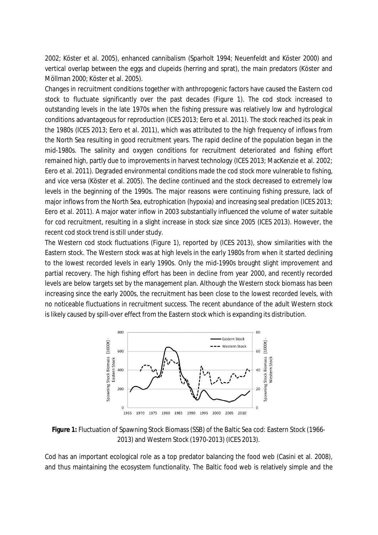2002; Köster et al. 2005), enhanced cannibalism (Sparholt 1994; Neuenfeldt and Köster 2000) and vertical overlap between the eggs and clupeids (herring and sprat), the main predators (Köster and Möllman 2000; Köster et al. 2005).

Changes in recruitment conditions together with anthropogenic factors have caused the Eastern cod stock to fluctuate significantly over the past decades (Figure 1). The cod stock increased to outstanding levels in the late 1970s when the fishing pressure was relatively low and hydrological conditions advantageous for reproduction (ICES 2013; Eero et al. 2011). The stock reached its peak in the 1980s (ICES 2013; Eero et al. 2011), which was attributed to the high frequency of inflows from the North Sea resulting in good recruitment years. The rapid decline of the population began in the mid-1980s. The salinity and oxygen conditions for recruitment deteriorated and fishing effort remained high, partly due to improvements in harvest technology (ICES 2013; MacKenzie et al. 2002; Eero et al. 2011). Degraded environmental conditions made the cod stock more vulnerable to fishing, and vice versa (Köster et al. 2005). The decline continued and the stock decreased to extremely low levels in the beginning of the 1990s. The major reasons were continuing fishing pressure, lack of major inflows from the North Sea, eutrophication (hypoxia) and increasing seal predation (ICES 2013; Eero et al. 2011). A major water inflow in 2003 substantially influenced the volume of water suitable for cod recruitment, resulting in a slight increase in stock size since 2005 (ICES 2013). However, the recent cod stock trend is still under study.

The Western cod stock fluctuations (Figure 1), reported by (ICES 2013), show similarities with the Eastern stock. The Western stock was at high levels in the early 1980s from when it started declining to the lowest recorded levels in early 1990s. Only the mid-1990s brought slight improvement and partial recovery. The high fishing effort has been in decline from year 2000, and recently recorded levels are below targets set by the management plan. Although the Western stock biomass has been increasing since the early 2000s, the recruitment has been close to the lowest recorded levels, with no noticeable fluctuations in recruitment success. The recent abundance of the adult Western stock is likely caused by spill-over effect from the Eastern stock which is expanding its distribution.



**Figure 1:** Fluctuation of Spawning Stock Biomass (SSB) of the Baltic Sea cod: Eastern Stock (1966- 2013) and Western Stock (1970-2013) (ICES 2013).

Cod has an important ecological role as a top predator balancing the food web (Casini et al. 2008), and thus maintaining the ecosystem functionality. The Baltic food web is relatively simple and the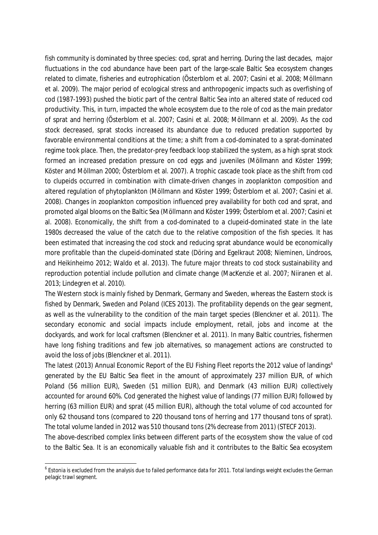fish community is dominated by three species: cod, sprat and herring. During the last decades, major fluctuations in the cod abundance have been part of the large-scale Baltic Sea ecosystem changes related to climate, fisheries and eutrophication (Österblom et al. 2007; Casini et al. 2008; Möllmann et al. 2009). The major period of ecological stress and anthropogenic impacts such as overfishing of cod (1987-1993) pushed the biotic part of the central Baltic Sea into an altered state of reduced cod productivity. This, in turn, impacted the whole ecosystem due to the role of cod as the main predator of sprat and herring (Österblom et al. 2007; Casini et al. 2008; Möllmann et al. 2009). As the cod stock decreased, sprat stocks increased its abundance due to reduced predation supported by favorable environmental conditions at the time; a shift from a cod-dominated to a sprat-dominated regime took place. Then, the predator-prey feedback loop stabilized the system, as a high sprat stock formed an increased predation pressure on cod eggs and juveniles (Möllmann and Köster 1999; Köster and Möllman 2000; Österblom et al. 2007). A trophic cascade took place as the shift from cod to clupeids occurred in combination with climate-driven changes in zooplankton composition and altered regulation of phytoplankton (Möllmann and Köster 1999; Österblom et al. 2007; Casini et al. 2008). Changes in zooplankton composition influenced prey availability for both cod and sprat, and promoted algal blooms on the Baltic Sea (Möllmann and Köster 1999; Österblom et al. 2007; Casini et al. 2008). Economically, the shift from a cod-dominated to a clupeid-dominated state in the late 1980s decreased the value of the catch due to the relative composition of the fish species. It has been estimated that increasing the cod stock and reducing sprat abundance would be economically more profitable than the clupeid-dominated state (Döring and Egelkraut 2008; Nieminen, Lindroos, and Heikinheimo 2012; Waldo et al. 2013). The future major threats to cod stock sustainability and reproduction potential include pollution and climate change (MacKenzie et al. 2007; Niiranen et al. 2013; Lindegren et al. 2010).

The Western stock is mainly fished by Denmark, Germany and Sweden, whereas the Eastern stock is fished by Denmark, Sweden and Poland (ICES 2013). The profitability depends on the gear segment, as well as the vulnerability to the condition of the main target species (Blenckner et al. 2011). The secondary economic and social impacts include employment, retail, jobs and income at the dockyards, and work for local craftsmen (Blenckner et al. 2011). In many Baltic countries, fishermen have long fishing traditions and few job alternatives, so management actions are constructed to avoid the loss of jobs (Blenckner et al. 2011).

The latest (2013) Annual Economic Report of the EU Fishing Fleet reports the 2012 value of landings<sup>6</sup> generated by the EU Baltic Sea fleet in the amount of approximately 237 million EUR, of which Poland (56 million EUR), Sweden (51 million EUR), and Denmark (43 million EUR) collectively accounted for around 60%. Cod generated the highest value of landings (77 million EUR) followed by herring (63 million EUR) and sprat (45 million EUR), although the total volume of cod accounted for only 62 thousand tons (compared to 220 thousand tons of herring and 177 thousand tons of sprat). The total volume landed in 2012 was 510 thousand tons (2% decrease from 2011) (STECF 2013).

The above-described complex links between different parts of the ecosystem show the value of cod to the Baltic Sea. It is an economically valuable fish and it contributes to the Baltic Sea ecosystem

<sup>&</sup>lt;sup>6</sup> Estonia is excluded from the analysis due to failed performance data for 2011. Total landings weight excludes the German pelagic trawl segment.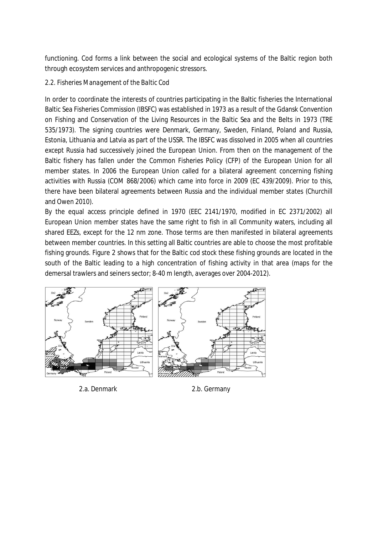functioning. Cod forms a link between the social and ecological systems of the Baltic region both through ecosystem services and anthropogenic stressors.

# *2.2. Fisheries Management of the Baltic Cod*

In order to coordinate the interests of countries participating in the Baltic fisheries the International Baltic Sea Fisheries Commission (IBSFC) was established in 1973 as a result of the Gdansk Convention on Fishing and Conservation of the Living Resources in the Baltic Sea and the Belts in 1973 (TRE 535/1973). The signing countries were Denmark, Germany, Sweden, Finland, Poland and Russia, Estonia, Lithuania and Latvia as part of the USSR. The IBSFC was dissolved in 2005 when all countries except Russia had successively joined the European Union. From then on the management of the Baltic fishery has fallen under the Common Fisheries Policy (CFP) of the European Union for all member states. In 2006 the European Union called for a bilateral agreement concerning fishing activities with Russia (COM 868/2006) which came into force in 2009 (EC 439/2009). Prior to this, there have been bilateral agreements between Russia and the individual member states (Churchill and Owen 2010).

By the equal access principle defined in 1970 (EEC 2141/1970, modified in EC 2371/2002) all European Union member states have the same right to fish in all Community waters, including all shared EEZs, except for the 12 nm zone. Those terms are then manifested in bilateral agreements between member countries. In this setting all Baltic countries are able to choose the most profitable fishing grounds. Figure 2 shows that for the Baltic cod stock these fishing grounds are located in the south of the Baltic leading to a high concentration of fishing activity in that area (maps for the demersal trawlers and seiners sector; 8-40 m length, averages over 2004-2012).



2.a. Denmark 2.b. Germany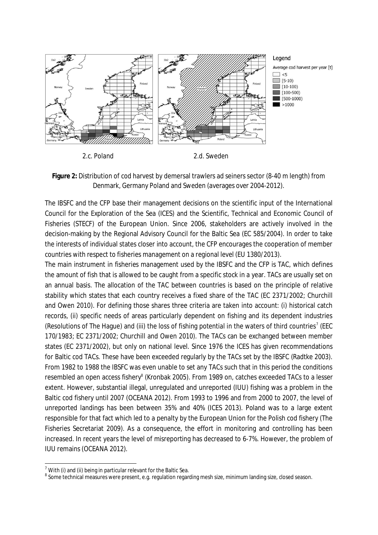

**Figure 2:** Distribution of cod harvest by demersal trawlers ad seiners sector (8-40 m length) from Denmark, Germany Poland and Sweden (averages over 2004-2012).

The IBSFC and the CFP base their management decisions on the scientific input of the International Council for the Exploration of the Sea (ICES) and the Scientific, Technical and Economic Council of Fisheries (STECF) of the European Union. Since 2006, stakeholders are actively involved in the decision-making by the Regional Advisory Council for the Baltic Sea (EC 585/2004). In order to take the interests of individual states closer into account, the CFP encourages the cooperation of member countries with respect to fisheries management on a regional level (EU 1380/2013).

The main instrument in fisheries management used by the IBSFC and the CFP is TAC, which defines the amount of fish that is allowed to be caught from a specific stock in a year. TACs are usually set on an annual basis. The allocation of the TAC between countries is based on the principle of relative stability which states that each country receives a fixed share of the TAC (EC 2371/2002; Churchill and Owen 2010). For defining those shares three criteria are taken into account: (i) historical catch records, (ii) specific needs of areas particularly dependent on fishing and its dependent industries (Resolutions of The Hague) and (iii) the loss of fishing potential in the waters of third countries<sup>7</sup> (EEC 170/1983; EC 2371/2002; Churchill and Owen 2010). The TACs can be exchanged between member states (EC 2371/2002), but only on national level. Since 1976 the ICES has given recommendations for Baltic cod TACs. These have been exceeded regularly by the TACs set by the IBSFC (Radtke 2003). From 1982 to 1988 the IBSFC was even unable to set any TACs such that in this period the conditions resembled an open access fishery<sup>8</sup> (Kronbak 2005). From 1989 on, catches exceeded TACs to a lesser extent. However, substantial illegal, unregulated and unreported (IUU) fishing was a problem in the Baltic cod fishery until 2007 (OCEANA 2012). From 1993 to 1996 and from 2000 to 2007, the level of unreported landings has been between 35% and 40% (ICES 2013). Poland was to a large extent responsible for that fact which led to a penalty by the European Union for the Polish cod fishery (The Fisheries Secretariat 2009). As a consequence, the effort in monitoring and controlling has been increased. In recent years the level of misreporting has decreased to 6-7%. However, the problem of IUU remains (OCEANA 2012).

 $^7$  With (i) and (ii) being in particular relevant for the Baltic Sea.

<sup>&</sup>lt;sup>8</sup> Some technical measures were present, e.g. regulation regarding mesh size, minimum landing size, closed season.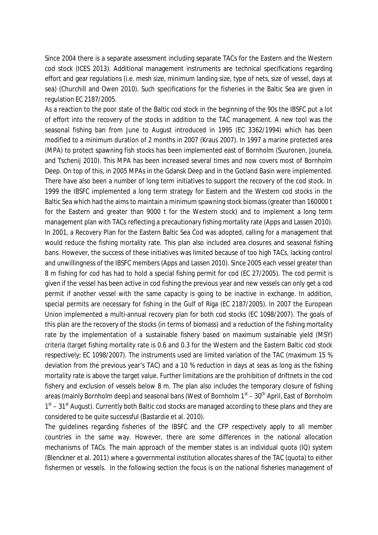Since 2004 there is a separate assessment including separate TACs for the Eastern and the Western cod stock (ICES 2013). Additional management instruments are technical specifications regarding effort and gear regulations (i.e. mesh size, minimum landing size, type of nets, size of vessel, days at sea) (Churchill and Owen 2010). Such specifications for the fisheries in the Baltic Sea are given in regulation EC 2187/2005.

As a reaction to the poor state of the Baltic cod stock in the beginning of the 90s the IBSFC put a lot of effort into the recovery of the stocks in addition to the TAC management. A new tool was the seasonal fishing ban from June to August introduced in 1995 (EC 3362/1994) which has been modified to a minimum duration of 2 months in 2007 (Kraus 2007). In 1997 a marine protected area (MPA) to protect spawning fish stocks has been implemented east of Bornholm (Suuronen, Jounela, and Tschenij 2010). This MPA has been increased several times and now covers most of Bornholm Deep. On top of this, in 2005 MPAs in the Gdansk Deep and in the Gotland Basin were implemented. There have also been a number of long term initiatives to support the recovery of the cod stock. In 1999 the IBSFC implemented a long term strategy for Eastern and the Western cod stocks in the Baltic Sea which had the aims to maintain a minimum spawning stock biomass (greater than 160000 t for the Eastern and greater than 9000 t for the Western stock) and to implement a long term management plan with TACs reflecting a precautionary fishing mortality rate (Apps and Lassen 2010). In 2001, a Recovery Plan for the Eastern Baltic Sea Cod was adopted, calling for a management that would reduce the fishing mortality rate. This plan also included area closures and seasonal fishing bans. However, the success of these initiatives was limited because of too high TACs, lacking control and unwillingness of the IBSFC members (Apps and Lassen 2010). Since 2005 each vessel greater than 8 m fishing for cod has had to hold a special fishing permit for cod (EC 27/2005). The cod permit is given if the vessel has been active in cod fishing the previous year and new vessels can only get a cod permit if another vessel with the same capacity is going to be inactive in exchange. In addition, special permits are necessary for fishing in the Gulf of Riga (EC 2187/2005). In 2007 the European Union implemented a multi-annual recovery plan for both cod stocks (EC 1098/2007). The goals of this plan are the recovery of the stocks (in terms of biomass) and a reduction of the fishing mortality rate by the implementation of a sustainable fishery based on maximum sustainable yield (MSY) criteria (target fishing mortality rate is 0.6 and 0.3 for the Western and the Eastern Baltic cod stock respectively; EC 1098/2007). The instruments used are limited variation of the TAC (maximum 15 % deviation from the previous year's TAC) and a 10 % reduction in days at seas as long as the fishing mortality rate is above the target value. Further limitations are the prohibition of driftnets in the cod fishery and exclusion of vessels below 8 m. The plan also includes the temporary closure of fishing areas (mainly Bornholm deep) and seasonal bans (West of Bornholm  $1<sup>st</sup> - 30<sup>th</sup>$  April, East of Bornholm 1<sup>st</sup> – 31<sup>st</sup> August). Currently both Baltic cod stocks are managed according to these plans and they are considered to be quite successful (Bastardie et al. 2010).

The guidelines regarding fisheries of the IBSFC and the CFP respectively apply to all member countries in the same way. However, there are some differences in the national allocation mechanisms of TACs. The main approach of the member states is an individual quota (IQ) system (Blenckner et al. 2011) where a governmental institution allocates shares of the TAC (quota) to either fishermen or vessels. In the following section the focus is on the national fisheries management of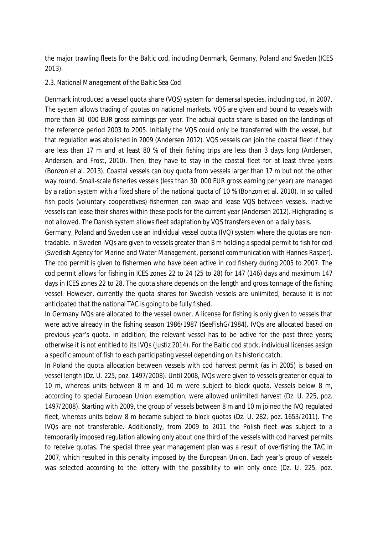the major trawling fleets for the Baltic cod, including Denmark, Germany, Poland and Sweden (ICES 2013).

### *2.3. National Management of the Baltic Sea Cod*

Denmark introduced a vessel quota share (VQS) system for demersal species, including cod, in 2007. The system allows trading of quotas on national markets. VQS are given and bound to vessels with more than 30,000 EUR gross earnings per year. The actual quota share is based on the landings of the reference period 2003 to 2005. Initially the VQS could only be transferred with the vessel, but that regulation was abolished in 2009 (Andersen 2012). VQS vessels can join the coastal fleet if they are less than 17 m and at least 80 % of their fishing trips are less than 3 days long (Andersen, Andersen, and Frost, 2010). Then, they have to stay in the coastal fleet for at least three years (Bonzon et al. 2013). Coastal vessels can buy quota from vessels larger than 17 m but not the other way round. Small-scale fisheries vessels (less than 30 000 EUR gross earning per year) are managed by a ration system with a fixed share of the national quota of 10 % (Bonzon et al. 2010). In so called fish pools (voluntary cooperatives) fishermen can swap and lease VQS between vessels. Inactive vessels can lease their shares within these pools for the current year (Andersen 2012). Highgrading is not allowed. The Danish system allows fleet adaptation by VQS transfers even on a daily basis.

Germany, Poland and Sweden use an individual vessel quota (IVQ) system where the quotas are nontradable. In Sweden IVQs are given to vessels greater than 8 m holding a special permit to fish for cod (Swedish Agency for Marine and Water Management, personal communication with Hannes Rasper). The cod permit is given to fishermen who have been active in cod fishery during 2005 to 2007. The cod permit allows for fishing in ICES zones 22 to 24 (25 to 28) for 147 (146) days and maximum 147 days in ICES zones 22 to 28. The quota share depends on the length and gross tonnage of the fishing vessel. However, currently the quota shares for Swedish vessels are unlimited, because it is not anticipated that the national TAC is going to be fully fished.

In Germany IVQs are allocated to the vessel owner. A license for fishing is only given to vessels that were active already in the fishing season 1986/1987 (SeeFishG/1984). IVQs are allocated based on previous year's quota. In addition, the relevant vessel has to be active for the past three years; otherwise it is not entitled to its IVQs (Justiz 2014). For the Baltic cod stock, individual licenses assign a specific amount of fish to each participating vessel depending on its historic catch.

In Poland the quota allocation between vessels with cod harvest permit (as in 2005) is based on vessel length (Dz. U. 225, poz. 1497/2008). Until 2008, IVQs were given to vessels greater or equal to 10 m, whereas units between 8 m and 10 m were subject to block quota. Vessels below 8 m, according to special European Union exemption, were allowed unlimited harvest (Dz. U. 225, poz. 1497/2008). Starting with 2009, the group of vessels between 8 m and 10 m joined the IVQ regulated fleet, whereas units below 8 m became subject to block quotas (Dz. U. 282, poz. 1653/2011). The IVQs are not transferable. Additionally, from 2009 to 2011 the Polish fleet was subject to a temporarily imposed regulation allowing only about one third of the vessels with cod harvest permits to receive quotas. The special three year management plan was a result of overfishing the TAC in 2007, which resulted in this penalty imposed by the European Union. Each year's group of vessels was selected according to the lottery with the possibility to win only once (Dz. U. 225, poz.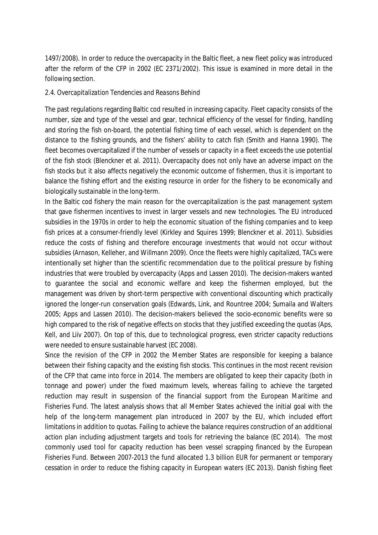1497/2008). In order to reduce the overcapacity in the Baltic fleet, a new fleet policy was introduced after the reform of the CFP in 2002 (EC 2371/2002). This issue is examined in more detail in the following section.

### *2.4. Overcapitalization Tendencies and Reasons Behind*

The past regulations regarding Baltic cod resulted in increasing capacity. Fleet capacity consists of the number, size and type of the vessel and gear, technical efficiency of the vessel for finding, handling and storing the fish on-board, the potential fishing time of each vessel, which is dependent on the distance to the fishing grounds, and the fishers' ability to catch fish (Smith and Hanna 1990). The fleet becomes overcapitalized if the number of vessels or capacity in a fleet exceeds the use potential of the fish stock (Blenckner et al. 2011). Overcapacity does not only have an adverse impact on the fish stocks but it also affects negatively the economic outcome of fishermen, thus it is important to balance the fishing effort and the existing resource in order for the fishery to be economically and biologically sustainable in the long-term.

In the Baltic cod fishery the main reason for the overcapitalization is the past management system that gave fishermen incentives to invest in larger vessels and new technologies. The EU introduced subsidies in the 1970s in order to help the economic situation of the fishing companies and to keep fish prices at a consumer-friendly level (Kirkley and Squires 1999; Blenckner et al. 2011). Subsidies reduce the costs of fishing and therefore encourage investments that would not occur without subsidies (Arnason, Kelleher, and Willmann 2009). Once the fleets were highly capitalized, TACs were intentionally set higher than the scientific recommendation due to the political pressure by fishing industries that were troubled by overcapacity (Apps and Lassen 2010). The decision-makers wanted to guarantee the social and economic welfare and keep the fishermen employed, but the management was driven by short-term perspective with conventional discounting which practically ignored the longer-run conservation goals (Edwards, Link, and Rountree 2004; Sumaila and Walters 2005; Apps and Lassen 2010). The decision-makers believed the socio-economic benefits were so high compared to the risk of negative effects on stocks that they justified exceeding the quotas (Aps, Kell, and Liiv 2007). On top of this, due to technological progress, even stricter capacity reductions were needed to ensure sustainable harvest (EC 2008).

Since the revision of the CFP in 2002 the Member States are responsible for keeping a balance between their fishing capacity and the existing fish stocks. This continues in the most recent revision of the CFP that came into force in 2014. The members are obligated to keep their capacity (both in tonnage and power) under the fixed maximum levels, whereas failing to achieve the targeted reduction may result in suspension of the financial support from the European Maritime and Fisheries Fund. The latest analysis shows that all Member States achieved the initial goal with the help of the long-term management plan introduced in 2007 by the EU, which included effort limitations in addition to quotas. Failing to achieve the balance requires construction of an additional action plan including adjustment targets and tools for retrieving the balance (EC 2014). The most commonly used tool for capacity reduction has been vessel scrapping financed by the European Fisheries Fund. Between 2007-2013 the fund allocated 1.3 billion EUR for permanent or temporary cessation in order to reduce the fishing capacity in European waters (EC 2013). Danish fishing fleet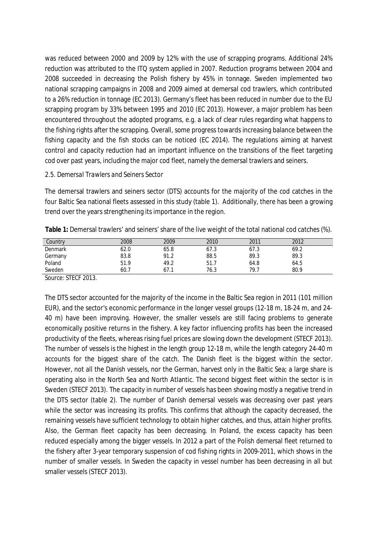was reduced between 2000 and 2009 by 12% with the use of scrapping programs. Additional 24% reduction was attributed to the ITQ system applied in 2007. Reduction programs between 2004 and 2008 succeeded in decreasing the Polish fishery by 45% in tonnage. Sweden implemented two national scrapping campaigns in 2008 and 2009 aimed at demersal cod trawlers, which contributed to a 26% reduction in tonnage (EC 2013). Germany's fleet has been reduced in number due to the EU scrapping program by 33% between 1995 and 2010 (EC 2013). However, a major problem has been encountered throughout the adopted programs, e.g. a lack of clear rules regarding what happens to the fishing rights after the scrapping. Overall, some progress towards increasing balance between the fishing capacity and the fish stocks can be noticed (EC 2014). The regulations aiming at harvest control and capacity reduction had an important influence on the transitions of the fleet targeting cod over past years, including the major cod fleet, namely the demersal trawlers and seiners.

### *2.5. Demersal Trawlers and Seiners Sector*

The demersal trawlers and seiners sector (DTS) accounts for the majority of the cod catches in the four Baltic Sea national fleets assessed in this study (table 1). Additionally, there has been a growing trend over the years strengthening its importance in the region.

| Country | 2008 | 2009 | 2010 | 2011 | 2012 |  |
|---------|------|------|------|------|------|--|
| Denmark | 62.0 | 65.8 | 67.3 | 67.3 | 69.2 |  |
| Germany | 83.8 | 91.2 | 88.5 | 89.3 | 89.3 |  |
| Poland  | 51.9 | 49.2 | 51.7 | 64.8 | 64.5 |  |
| Sweden  | 60.7 | 67.1 | 76.3 | 79.7 | 80.9 |  |

**Table 1:** Demersal trawlers' and seiners' share of the live weight of the total national cod catches (%).

Source: STECF 2013.

The DTS sector accounted for the majority of the income in the Baltic Sea region in 2011 (101 million EUR), and the sector's economic performance in the longer vessel groups (12-18 m, 18-24 m, and 24- 40 m) have been improving. However, the smaller vessels are still facing problems to generate economically positive returns in the fishery. A key factor influencing profits has been the increased productivity of the fleets, whereas rising fuel prices are slowing down the development (STECF 2013). The number of vessels is the highest in the length group 12-18 m, while the length category 24-40 m accounts for the biggest share of the catch. The Danish fleet is the biggest within the sector. However, not all the Danish vessels, nor the German, harvest only in the Baltic Sea; a large share is operating also in the North Sea and North Atlantic. The second biggest fleet within the sector is in Sweden (STECF 2013). The capacity in number of vessels has been showing mostly a negative trend in the DTS sector (table 2). The number of Danish demersal vessels was decreasing over past years while the sector was increasing its profits. This confirms that although the capacity decreased, the remaining vessels have sufficient technology to obtain higher catches, and thus, attain higher profits. Also, the German fleet capacity has been decreasing. In Poland, the excess capacity has been reduced especially among the bigger vessels. In 2012 a part of the Polish demersal fleet returned to the fishery after 3-year temporary suspension of cod fishing rights in 2009-2011, which shows in the number of smaller vessels. In Sweden the capacity in vessel number has been decreasing in all but smaller vessels (STECF 2013).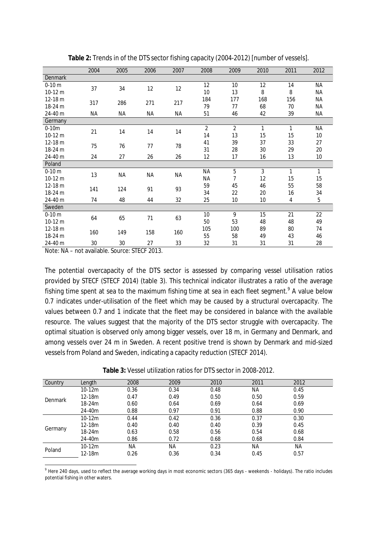|                | 2004 | 2005      | 2006      | 2007      | 2008           | 2009 | 2010 | 2011 | 2012      |
|----------------|------|-----------|-----------|-----------|----------------|------|------|------|-----------|
| <b>Denmark</b> |      |           |           |           |                |      |      |      |           |
| $0-10 m$       | 37   | 34        | 12        | 12        | 12             | 10   | 12   | 14   | <b>NA</b> |
| $10-12 m$      |      |           |           |           | 10             | 13   | 8    | 8    | <b>NA</b> |
| 12-18 m        | 317  | 286       | 271       | 217       | 184            | 177  | 168  | 156  | ΝA        |
| 18-24 m        |      |           |           |           | 79             | 77   | 68   | 70   | ΝA        |
| 24-40 m        | NA   | <b>NA</b> | <b>NA</b> | <b>NA</b> | 51             | 46   | 42   | 39   | NA        |
| Germany        |      |           |           |           |                |      |      |      |           |
| $0-10m$        | 21   | 14        | 14        | 14        | $\overline{2}$ | 2    | 1    | 1    | <b>NA</b> |
| 10-12 m        |      |           |           |           | 14             | 13   | 15   | 15   | 10        |
| $12-18 m$      | 75   | 76        | 77        | 78        | 41             | 39   | 37   | 33   | 27        |
| 18-24 m        |      |           |           |           | 31             | 28   | 30   | 29   | 20        |
| 24-40 m        | 24   | 27        | 26        | 26        | 12             | 17   | 16   | 13   | 10        |
| Poland         |      |           |           |           |                |      |      |      |           |
| $0-10 m$       | 13   | <b>NA</b> | <b>NA</b> | <b>NA</b> | <b>NA</b>      | 5    | 3    | 1    | 1         |
| $10-12 m$      |      |           |           |           | <b>NA</b>      | 7    | 12   | 15   | 15        |
| $12-18 m$      | 141  | 124       | 91        | 93        | 59             | 45   | 46   | 55   | 58        |
| 18-24 m        |      |           |           |           | 34             | 22   | 20   | 16   | 34        |
| 24-40 m        | 74   | 48        | 44        | 32        | 25             | 10   | 10   | 4    | 5         |
| Sweden         |      |           |           |           |                |      |      |      |           |
| $0-10 m$       | 64   | 65        | 71        | 63        | 10             | 9    | 15   | 21   | 22        |
| 10-12 m        |      |           |           |           | 50             | 53   | 48   | 48   | 49        |
| $12-18 m$      | 160  | 149       | 158       | 160       | 105            | 100  | 89   | 80   | 74        |
| 18-24 m        |      |           |           |           | 55             | 58   | 49   | 43   | 46        |
| 24-40 m        | 30   | 30        | 27        | 33        | 32             | 31   | 31   | 31   | 28        |

**Table 2:** Trends in of the DTS sector fishing capacity (2004-2012) [number of vessels].

Note: NA – not available. Source: STECF 2013.

The potential overcapacity of the DTS sector is assessed by comparing vessel utilisation ratios provided by STECF (STECF 2014) (table 3). This technical indicator illustrates a ratio of the average fishing time spent at sea to the maximum fishing time at sea in each fleet segment.<sup>9</sup> A value below 0.7 indicates under-utilisation of the fleet which may be caused by a structural overcapacity. The values between 0.7 and 1 indicate that the fleet may be considered in balance with the available resource. The values suggest that the majority of the DTS sector struggle with overcapacity. The optimal situation is observed only among bigger vessels, over 18 m, in Germany and Denmark, and among vessels over 24 m in Sweden. A recent positive trend is shown by Denmark and mid-sized vessels from Poland and Sweden, indicating a capacity reduction (STECF 2014).

**Table 3:** Vessel utilization ratios for DTS sector in 2008-2012.

| Country | Length   | 2008      | 2009 | 2010 | 2011 | 2012 |  |
|---------|----------|-----------|------|------|------|------|--|
|         | $10-12m$ | 0.36      | 0.34 | 0.48 | ΝA   | 0.45 |  |
| Denmark | $12-18m$ | 0.47      | 0.49 | 0.50 | 0.50 | 0.59 |  |
|         | 18-24m   | 0.60      | 0.64 | 0.69 | 0.64 | 0.69 |  |
|         | 24-40m   | 0.88      | 0.97 | 0.91 | 0.88 | 0.90 |  |
|         | $10-12m$ | 0.44      | 0.42 | 0.36 | 0.37 | 0.30 |  |
|         | $12-18m$ | 0.40      | 0.40 | 0.40 | 0.39 | 0.45 |  |
| Germany | 18-24m   | 0.63      | 0.58 | 0.56 | 0.54 | 0.68 |  |
|         | 24-40m   | 0.86      | 0.72 | 0.68 | 0.68 | 0.84 |  |
| Poland  | $10-12m$ | <b>NA</b> | NA.  | 0.23 | NА   | NA.  |  |
|         | 12-18m   | 0.26      | 0.36 | 0.34 | 0.45 | 0.57 |  |

<sup>9</sup> Here 240 days, used to reflect the average working days in most economic sectors (365 days - weekends - holidays). The ratio includes potential fishing in other waters.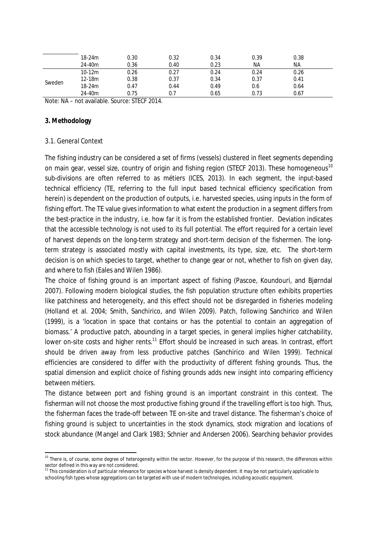| 18-24m     | 0.30 | 0.32 | 0.34 | 0.39      | 0.38 |  |
|------------|------|------|------|-----------|------|--|
| 24-40m     | 0.36 | 0.40 | 0.23 | <b>NA</b> | ΝA   |  |
| $10-12m$   | 0.26 | 0.27 | 0.24 | 0.24      | 0.26 |  |
| $12 - 18m$ | 0.38 | 0.37 | 0.34 | 0.37      | 0.41 |  |
| 18-24m     | 0.47 | 0.44 | 0.49 | 0.6       | 0.64 |  |
| 24-40m     | 0.75 | 0.7  | 0.65 | 0.73      | 0.67 |  |
|            |      |      |      |           |      |  |

Note: NA – not available. Source: STECF 2014.

### **3. Methodology**

### *3.1. General Context*

The fishing industry can be considered a set of firms (vessels) clustered in fleet segments depending on main gear, vessel size, country of origin and fishing region (STECF 2013). These homogeneous<sup>10</sup> sub-divisions are often referred to as métiers (ICES, 2013). In each segment, the input-based technical efficiency (TE, referring to the full input based technical efficiency specification from herein) is dependent on the production of outputs, i.e. harvested species, using inputs in the form of fishing effort. The TE value gives information to what extent the production in a segment differs from the best-practice in the industry, i.e. how far it is from the established frontier. Deviation indicates that the accessible technology is not used to its full potential. The effort required for a certain level of harvest depends on the long-term strategy and short-term decision of the fishermen. The longterm strategy is associated mostly with capital investments, its type, size, etc. The short-term decision is on which species to target, whether to change gear or not, whether to fish on given day, and where to fish (Eales and Wilen 1986).

The choice of fishing ground is an important aspect of fishing (Pascoe, Koundouri, and Bjørndal 2007). Following modern biological studies, the fish population structure often exhibits properties like patchiness and heterogeneity, and this effect should not be disregarded in fisheries modeling (Holland et al. 2004; Smith, Sanchirico, and Wilen 2009). Patch, following Sanchirico and Wilen (1999), is a 'location in space that contains or has the potential to contain an aggregation of biomass.' A productive patch, abounding in a target species, in general implies higher catchability, lower on-site costs and higher rents.<sup>11</sup> Effort should be increased in such areas. In contrast, effort should be driven away from less productive patches (Sanchirico and Wilen 1999). Technical efficiencies are considered to differ with the productivity of different fishing grounds. Thus, the spatial dimension and explicit choice of fishing grounds adds new insight into comparing efficiency between métiers.

The distance between port and fishing ground is an important constraint in this context. The fisherman will not choose the most productive fishing ground if the travelling effort is too high. Thus, the fisherman faces the trade-off between TE on-site and travel distance. The fisherman's choice of fishing ground is subject to uncertainties in the stock dynamics, stock migration and locations of stock abundance (Mangel and Clark 1983; Schnier and Andersen 2006). Searching behavior provides

 $10$  There is, of course, some degree of heterogeneity within the sector. However, for the purpose of this research, the differences within

sector defined in this way are not considered.<br><sup>11</sup> This consideration is of particular relevance for species whose harvest is density dependent. It may be not particularly applicable to schooling fish types whose aggregations can be targeted with use of modern technologies, including acoustic equipment.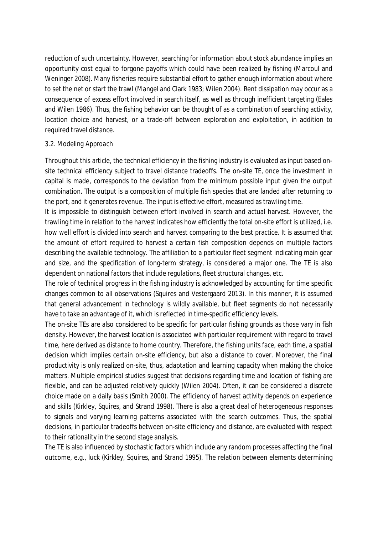reduction of such uncertainty. However, searching for information about stock abundance implies an opportunity cost equal to forgone payoffs which could have been realized by fishing (Marcoul and Weninger 2008). Many fisheries require substantial effort to gather enough information about where to set the net or start the trawl (Mangel and Clark 1983; Wilen 2004). Rent dissipation may occur as a consequence of excess effort involved in search itself, as well as through inefficient targeting (Eales and Wilen 1986). Thus, the fishing behavior can be thought of as a combination of searching activity, location choice and harvest, or a trade-off between exploration and exploitation, in addition to required travel distance.

### *3.2. Modeling Approach*

Throughout this article, the technical efficiency in the fishing industry is evaluated as input based onsite technical efficiency subject to travel distance tradeoffs. The on-site TE, once the investment in capital is made, corresponds to the deviation from the minimum possible input given the output combination. The output is a composition of multiple fish species that are landed after returning to the port, and it generates revenue. The input is effective effort, measured as trawling time.

It is impossible to distinguish between effort involved in search and actual harvest. However, the trawling time in relation to the harvest indicates how efficiently the total on-site effort is utilized, i.e. how well effort is divided into search and harvest comparing to the best practice. It is assumed that the amount of effort required to harvest a certain fish composition depends on multiple factors describing the available technology. The affiliation to a particular fleet segment indicating main gear and size, and the specification of long-term strategy, is considered a major one. The TE is also dependent on national factors that include regulations, fleet structural changes, etc.

The role of technical progress in the fishing industry is acknowledged by accounting for time specific changes common to all observations (Squires and Vestergaard 2013). In this manner, it is assumed that general advancement in technology is wildly available, but fleet segments do not necessarily have to take an advantage of it, which is reflected in time-specific efficiency levels.

The on-site TEs are also considered to be specific for particular fishing grounds as those vary in fish density. However, the harvest location is associated with particular requirement with regard to travel time, here derived as distance to home country. Therefore, the fishing units face, each time, a spatial decision which implies certain on-site efficiency, but also a distance to cover. Moreover, the final productivity is only realized on-site, thus, adaptation and learning capacity when making the choice matters. Multiple empirical studies suggest that decisions regarding time and location of fishing are flexible, and can be adjusted relatively quickly (Wilen 2004). Often, it can be considered a discrete choice made on a daily basis (Smith 2000). The efficiency of harvest activity depends on experience and skills (Kirkley, Squires, and Strand 1998). There is also a great deal of heterogeneous responses to signals and varying learning patterns associated with the search outcomes. Thus, the spatial decisions, in particular tradeoffs between on-site efficiency and distance, are evaluated with respect to their rationality in the second stage analysis.

The TE is also influenced by stochastic factors which include any random processes affecting the final outcome, e.g., luck (Kirkley, Squires, and Strand 1995). The relation between elements determining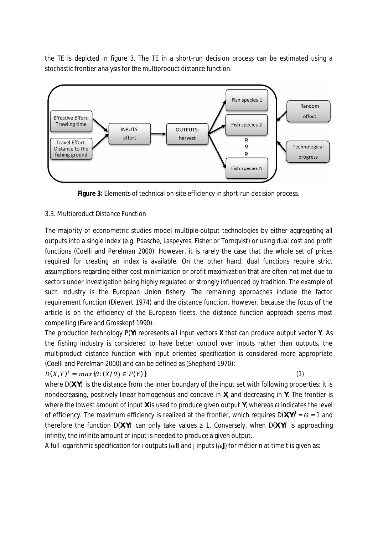the TE is depicted in figure 3. The TE in a short-run decision process can be estimated using a stochastic frontier analysis for the multiproduct distance function.



**Figure 3:** Elements of technical on-site efficiency in short-run decision process.

## *3.3. Multiproduct Distance Function*

The majority of econometric studies model multiple-output technologies by either aggregating all outputs into a single index (e.g. Paasche, Laspeyres, Fisher or Tornqvist) or using dual cost and profit functions (Coelli and Perelman 2000). However, it is rarely the case that the whole set of prices required for creating an index is available. On the other hand, dual functions require strict assumptions regarding either cost minimization or profit maximization that are often not met due to sectors under investigation being highly regulated or strongly influenced by tradition. The example of such industry is the European Union fishery. The remaining approaches include the factor requirement function (Diewert 1974) and the distance function. However, because the focus of the article is on the efficiency of the European fleets, the distance function approach seems most compelling (Fӓre and Grosskopf 1990).

The production technology *P(Y)* represents all input vectors **X** that can produce output vector **Y**. As the fishing industry is considered to have better control over inputs rather than outputs, the multiproduct distance function with input oriented specification is considered more appropriate (Coelli and Perelman 2000) and can be defined as (Shephard 1970):

# $D(X, Y)^{T} = max(\theta: (X/\theta) \in P(Y))$  (1)

where  $D(X,Y)^{l}$  is the distance from the inner boundary of the input set with following properties: it is nondecreasing, positively linear homogenous and concave in *X*, and decreasing in *Y*. The frontier is where the lowest amount of input *X* is used to produce given output *Y*, whereas *ϴ* indicates the level of efficiency. The maximum efficiency is realized at the frontier, which requires *D(X,Y) I* = *ϴ* = 1 and therefore the function  $D(X,Y)^{1}$  can only take values  $\geq 1$ . Conversely, when  $D(X,Y)^{1}$  is approaching infinity, the infinite amount of input is needed to produce a given output.

A full logarithmic specification for *i* outputs (*iϵI*) and *j* inputs (*jϵJ*) for métier *n* at time *t* is given as: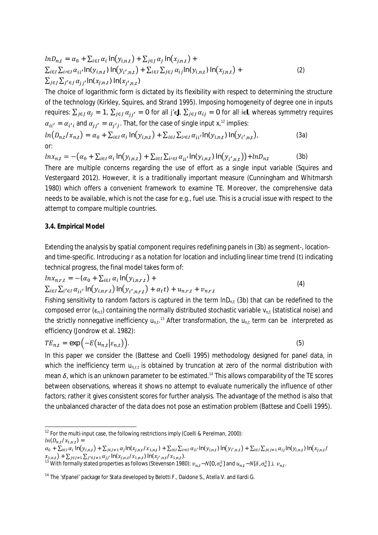$$
lnD_{n,t} = \alpha_0 + \sum_{i \in I} \alpha_i \ln(y_{i,n,t}) + \sum_{j \in J} \alpha_j \ln(x_{j,n,t}) +
$$
  
\n
$$
\sum_{i \in I} \sum_{i \in I} \alpha_{ii'} \ln(y_{i,n,t}) \ln(y_{i',n,t}) + \sum_{i \in I} \sum_{j \in J} \alpha_{ij} \ln(y_{i,n,t}) \ln(x_{j,n,t}) +
$$
  
\n
$$
\sum_{j \in J} \sum_{j' \in J} \alpha_{jj'} \ln(x_{j,n,t}) \ln(x_{j',n,t})
$$
\n(2)

The choice of logarithmic form is dictated by its flexibility with respect to determining the structure of the technology (Kirkley, Squires, and Strand 1995). Imposing homogeneity of degree one in inputs requires:  $\sum_{j\in J}\alpha_j=\mathbf{1}$ ,  $\sum_{j\in J}\alpha_{jj'}=\mathbf{0}$  for all  $j'$ ૯J,  $\sum_{j\in J}\alpha_{ij}=\mathbf{0}$  for all *i*∈*I*, whereas symmetry requires  $\alpha_{ii'} = \alpha_{i'i}$  and  $\alpha_{jj'} = \alpha_{j'j}$ . That, for the case of single input  $x_i^{12}$  implies:  $ln(D_{n,t}/X_{n,t}) = \alpha_0 + \sum_{i\in I}\alpha_i \ln(y_{i,n,t}) + \sum_{i\in I}\sum_{i\in I}\alpha_{ii'} \ln(y_{i,n,t}) \ln(y_{i',n,t})$  $(3a)$ 

or:

 $ln x_{n,t} = -(\alpha_0 + \sum_{i \in I} \alpha_i \ln(y_{i,n,t}) + \sum_{i \in I} \sum_{i \in I} \alpha_{ii'} \ln(y_{i,n,t}) \ln(y_{i',n,t})) + lnD_{n,t}$ (3b)

There are multiple concerns regarding the use of effort as a single input variable (Squires and Vestergaard 2012). However, it is a traditionally important measure (Cunningham and Whitmarsh 1980) which offers a convenient framework to examine TE. Moreover, the comprehensive data needs to be available, which is not the case for e.g., fuel use. This is a crucial issue with respect to the attempt to compare multiple countries.

### **3.4. Empirical Model**

Extending the analysis by spatial component requires redefining panels in (3b) as segment-, locationand time-specific. Introducing *r* as a notation for location and including linear time trend (*t*) indicating technical progress, the final model takes form of:

$$
ln x_{n,r,t} = -(\alpha_0 + \sum_{i \in I} \alpha_i \ln(y_{i,n,r,t}) +
$$
  
 
$$
\sum_{i \in I} \sum_{i' \in I} \alpha_{ii'} \ln(y_{i,n,r,t}) \ln(y_{i',n,r,t}) + \alpha_t t + u_{n,r,t} + v_{n,r,t}
$$
 (4)

Fishing sensitivity to random factors is captured in the term *lnDn,t* (3b) that can be redefined to the composed error (εn,t) containing the normally distributed stochastic variable *vn,t* (statistical noise) and the strictly nonnegative inefficiency  $u_{n,t}$ <sup>13</sup> After transformation, the  $u_{n,t}$  term can be interpreted as efficiency (Jondrow et al. 1982):

$$
TE_{n,t} = \exp\left(-E(u_{n,t}|\varepsilon_{n,t})\right). \tag{5}
$$

In this paper we consider the (Battese and Coelli 1995) methodology designed for panel data, in which the inefficiency term  $u_{n,t}$  is obtained by truncation at zero of the normal distribution with mean δ, which is an unknown parameter to be estimated.<sup>14</sup> This allows comparability of the TE scores between observations, whereas it shows no attempt to evaluate numerically the influence of other factors; rather it gives consistent scores for further analysis. The advantage of the method is also that the unbalanced character of the data does not pose an estimation problem (Battese and Coelli 1995).

<sup>&</sup>lt;sup>12</sup> For the multi-input case, the following restrictions imply (Coelli & Perelman, 2000):  $ln(D_{n,t}/X_{1,n,t}) =$ 

 $\alpha_0$  +  $\sum_{i\in I}\alpha_i\ln(y_{i,n,t})$  +  $\sum_{j\in J\neq 1}\alpha_j\ln(z_{j,n,t}/x_{1,n,t})$  +  $\sum_{i\in I}\sum_{i\in I}\alpha_{ii'}\ln(y_{i,n,t})$  in  $(y_{i',n,t})$   $\sum_{i\in I}\sum_{j\in J\neq 1}\alpha_{ij}\ln(y_{i,n,t})$  in  $(x_{j,n,t}/x_{1,n,t})$  $\mathcal{X}_{1,n,t}$ ) +  $\sum_{j\in J\neq 1}\sum_{j'\in J\neq 1}\alpha_{jj'}$ ln $(x_{j,n,t}/x_{1,n,t})$  ln $(x_{j',n,t}/x_{1,n,t})$ .

<sup>&</sup>lt;sup>13</sup> With formally stated properties as follows (Stevenson 1980):  $v_{n,t}$  ~ $N[0,\sigma_v^2]$  and  $u_{n,t}$  ~ $N[{\delta},\sigma_u^2] \perp v_{n,t}$ .

<sup>&</sup>lt;sup>14</sup> The 'sfpanel' package for Stata developed by Belotti F., Daidone S., Atella V. and Ilardi G.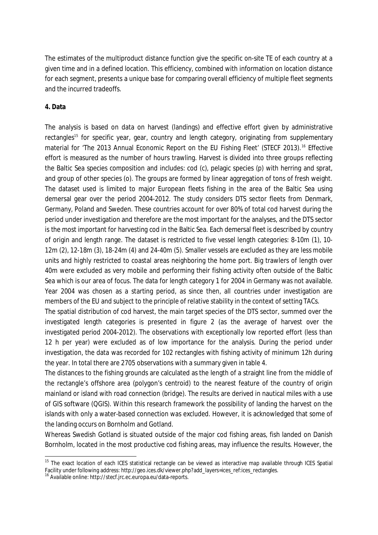The estimates of the multiproduct distance function give the specific on-site TE of each country at a given time and in a defined location. This efficiency, combined with information on location distance for each segment, presents a unique base for comparing overall efficiency of multiple fleet segments and the incurred tradeoffs.

### **4. Data**

The analysis is based on data on harvest (landings) and effective effort given by administrative rectangles<sup>15</sup> for specific year, gear, country and length category, originating from supplementary material for 'The 2013 Annual Economic Report on the EU Fishing Fleet' (STECF 2013).<sup>16</sup> Effective effort is measured as the number of hours trawling. Harvest is divided into three groups reflecting the Baltic Sea species composition and includes: cod (c), pelagic species (p) with herring and sprat, and group of other species (o). The groups are formed by linear aggregation of tons of fresh weight. The dataset used is limited to major European fleets fishing in the area of the Baltic Sea using demersal gear over the period 2004-2012. The study considers DTS sector fleets from Denmark, Germany, Poland and Sweden. These countries account for over 80% of total cod harvest during the period under investigation and therefore are the most important for the analyses, and the DTS sector is the most important for harvesting cod in the Baltic Sea. Each demersal fleet is described by country of origin and length range. The dataset is restricted to five vessel length categories: 8-10m (1), 10- 12m (2), 12-18m (3), 18-24m (4) and 24-40m (5). Smaller vessels are excluded as they are less mobile units and highly restricted to coastal areas neighboring the home port. Big trawlers of length over 40m were excluded as very mobile and performing their fishing activity often outside of the Baltic Sea which is our area of focus. The data for length category 1 for 2004 in Germany was not available. Year 2004 was chosen as a starting period, as since then, all countries under investigation are members of the EU and subject to the principle of relative stability in the context of setting TACs.

The spatial distribution of cod harvest, the main target species of the DTS sector, summed over the investigated length categories is presented in figure 2 (as the average of harvest over the investigated period 2004-2012). The observations with exceptionally low reported effort (less than 12 h per year) were excluded as of low importance for the analysis. During the period under investigation, the data was recorded for 102 rectangles with fishing activity of minimum 12h during the year. In total there are 2705 observations with a summary given in table 4.

The distances to the fishing grounds are calculated as the length of a straight line from the middle of the rectangle's offshore area (polygon's centroid) to the nearest feature of the country of origin mainland or island with road connection (bridge). The results are derived in nautical miles with a use of GIS software (QGIS). Within this research framework the possibility of landing the harvest on the islands with only a water-based connection was excluded. However, it is acknowledged that some of the landing occurs on Bornholm and Gotland.

Whereas Swedish Gotland is situated outside of the major cod fishing areas, fish landed on Danish Bornholm, located in the most productive cod fishing areas, may influence the results. However, the

<sup>&</sup>lt;sup>15</sup> The exact location of each ICES statistical rectangle can be viewed as interactive map available through ICES Spatial Facility under following address: http://geo.ices.dk/viewer.php?add\_layers=ices\_ref:ices\_rectangles.

<sup>16</sup> Available online: http://stecf.jrc.ec.europa.eu/data-reports.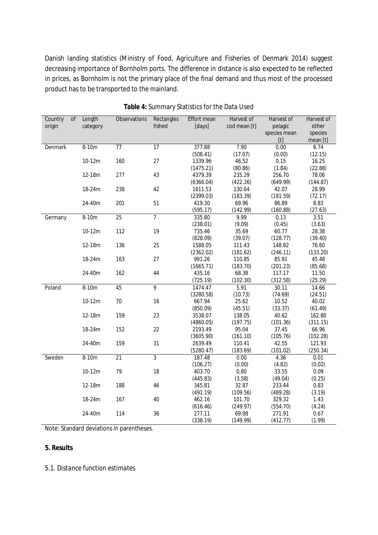Danish landing statistics (Ministry of Food, Agriculture and Fisheries of Denmark 2014) suggest decreasing importance of Bornholm ports. The difference in distance is also expected to be reflected in prices, as Bornholm is not the primary place of the final demand and thus most of the processed product has to be transported to the mainland.

| Country | of | Length   | Observations    | Rectangles      | <b>Effort mean</b> | Harvest of   | Harvest of   | Harvest of |
|---------|----|----------|-----------------|-----------------|--------------------|--------------|--------------|------------|
| origin  |    | category |                 | fished          | [days]             | cod mean [t] | pelagic      | other      |
|         |    |          |                 |                 |                    |              | species mean | species    |
|         |    |          |                 |                 |                    |              | $[t]$        | mean [t]   |
| Denmark |    | $8-10m$  | $\overline{77}$ | $\overline{17}$ | 377.88             | 7.90         | 0.00         | 6.74       |
|         |    |          |                 |                 | (508.41)           | (17.07)      | (0.00)       | (12.15)    |
|         |    | 10-12m   | 160             | 27              | 1339.96            | 46.52        | 0.15         | 16.25      |
|         |    |          |                 |                 | (1475.21)          | (80.86)      | (1.84)       | (22.88)    |
|         |    | 12-18m   | 277             | 43              | 4379.39            | 235.29       | 256.70       | 78.06      |
|         |    |          |                 |                 | (6366.04)          | (422.26)     | (649.99)     | (144.87)   |
|         |    | 18-24m   | 238             | 42              | 1611.53            | 130.64       | 42.07        | 28.99      |
|         |    |          |                 |                 | (2399.03)          | (183.39)     | (181.59)     | (72.17)    |
|         |    | 24-40m   | 201             | 51              | 419.30             | 69.96        | 86.89        | 8.83       |
|         |    |          |                 |                 | (595.17)           | (142.99)     | (160.88)     | (27.63)    |
| Germany |    | 8-10m    | 25              | $\overline{7}$  | 335.80             | 9.99         | 0.13         | 3.51       |
|         |    |          |                 |                 | (238.01)           | (9.09)       | (0.45)       | (3.63)     |
|         |    | 10-12m   | 112             | 19              | 735.46             | 35.69        | 60.77        | 28.38      |
|         |    |          |                 |                 | (828.09)           | (39.07)      | (128.77)     | (39.40)    |
|         |    | 12-18m   | 136             | 25              | 1588.05            | 111.43       | 148.82       | 76.60      |
|         |    |          |                 |                 | (2362.02)          | (181.62)     | (246.11)     | (133.20)   |
|         |    | 18-24m   | 163             | 27              | 991.26             | 110.85       | 85.91        | 45.48      |
|         |    |          |                 |                 | (1665.71)          | (183.70)     | (201.23)     | (85.68)    |
|         |    | 24-40m   | 162             | 44              | 435.16             | 68.38        | 117.17       | 11.50      |
|         |    |          |                 |                 | (725.19)           | (102.30)     | (312.58)     | (25.29)    |
| Poland  |    | $8-10m$  | 45              | 9               | 1474.47            | 5.91         | 30.11        | 14.66      |
|         |    |          |                 |                 | (3280.58)          | (10.73)      | (74.69)      | (24.51)    |
|         |    | 10-12m   | 70              | 16              | 667.94             | 25.62        | 10.52        | 40.02      |
|         |    |          |                 |                 | (850.09)           | (45.51)      | (33.37)      | (61.49)    |
|         |    | 12-18m   | 159             | 23              | 3538.07            | 138.05       | 40.62        | 162.80     |
|         |    |          |                 |                 | (4860.05)          | (197.75)     | (101.36)     | (311.15)   |
|         |    | 18-24m   | 152             | 22              | 2193.49            | 95.04        | 37.45        | 66.96      |
|         |    |          |                 |                 | (3605.90)          | (161.10)     | (105.76)     | (102.28)   |
|         |    | 24-40m   | 159             | 31              | 2639.49            | 110.41       | 42.55        | 121.93     |
|         |    |          |                 |                 | (5280.47)          | (183.69)     | (101.02)     | (250.34)   |
| Sweden  |    | 8-10m    | $\overline{21}$ | $\overline{3}$  | 187.48             | 0.00         | 4.36         | 0.01       |
|         |    |          |                 |                 | (106.27)           | (0.00)       | (4.82)       | (0.02)     |
|         |    | 10-12m   | 79              | 18              | 403.70             | 0.80         | 33.55        | 0.09       |
|         |    |          |                 |                 | (445.83)           | (3.58)       | (49.04)      | (0.25)     |
|         |    | 12-18m   | 188             | 46              | 345.81             | 32.87        | 233.44       | 0.83       |
|         |    |          |                 |                 | (491.19)           | (109.56)     | (489.28)     | (3.19)     |
|         |    | 18-24m   | 167             | 40              | 462.16             | 101.70       | 329.32       | 1.43       |
|         |    |          |                 |                 | (616.46)           | (249.97)     | (554.70)     | (4.24)     |
|         |    | 24-40m   | 114             | 36              | 277.11             | 69.08        | 271.91       | 0.67       |
|         |    |          |                 |                 | (338.19)           | (149.99)     | (412.77)     | (1.99)     |

# **Table 4:** Summary Statistics for the Data Used

Note: Standard deviations in parentheses.

### **5. Results**

*5.1. Distance function estimates*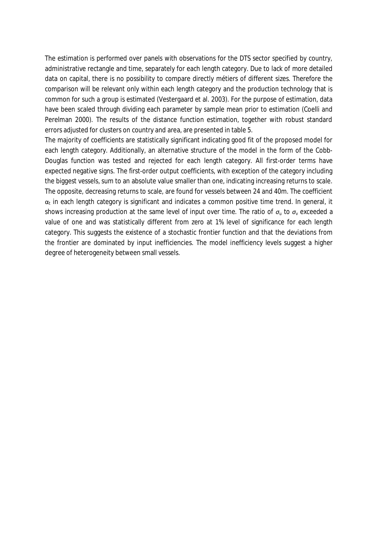The estimation is performed over panels with observations for the DTS sector specified by country, administrative rectangle and time, separately for each length category. Due to lack of more detailed data on capital, there is no possibility to compare directly métiers of different sizes. Therefore the comparison will be relevant only within each length category and the production technology that is common for such a group is estimated (Vestergaard et al. 2003). For the purpose of estimation, data have been scaled through dividing each parameter by sample mean prior to estimation (Coelli and Perelman 2000). The results of the distance function estimation, together with robust standard errors adjusted for clusters on country and area, are presented in table 5.

The majority of coefficients are statistically significant indicating good fit of the proposed model for each length category. Additionally, an alternative structure of the model in the form of the Cobb-Douglas function was tested and rejected for each length category. All first-order terms have expected negative signs. The first-order output coefficients, with exception of the category including the biggest vessels, sum to an absolute value smaller than one, indicating increasing returns to scale. The opposite, decreasing returns to scale, are found for vessels between 24 and 40m. The coefficient  $\alpha_t$  in each length category is significant and indicates a common positive time trend. In general, it shows increasing production at the same level of input over time. The ratio of *σu* to *σv* exceeded a value of one and was statistically different from zero at 1% level of significance for each length category. This suggests the existence of a stochastic frontier function and that the deviations from the frontier are dominated by input inefficiencies. The model inefficiency levels suggest a higher degree of heterogeneity between small vessels.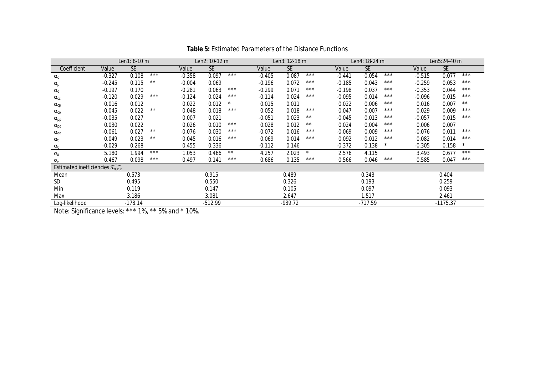|                                                |          | Len1: 8-10 m |       |          | Len2: 10-12 m |              |          | Len3: 12-18 m |         |          | Len4: 18-24 m |       |          | Len5:24-40 m |              |
|------------------------------------------------|----------|--------------|-------|----------|---------------|--------------|----------|---------------|---------|----------|---------------|-------|----------|--------------|--------------|
| Coefficient                                    | Value    | <b>SE</b>    |       | Value    | <b>SE</b>     |              | Value    | <b>SE</b>     |         | Value    | <b>SE</b>     |       | Value    | <b>SE</b>    |              |
| $\alpha_c$                                     | $-0.327$ | 0.108        | $***$ | $-0.358$ | 0.097         | $***$        | $-0.405$ | 0.087         | $***$   | $-0.441$ | 0.054         | $***$ | $-0.515$ | 0.077        | $***$        |
| $\alpha_{p}$                                   | $-0.245$ | 0.115        | $***$ | $-0.004$ | 0.069         |              | $-0.196$ | 0.072         | $***$   | $-0.185$ | 0.043         | $***$ | $-0.259$ | 0.053        | $***$        |
| $\alpha_{0}$                                   | $-0.197$ | 0.170        |       | $-0.281$ | 0.063         | ***          | $-0.299$ | 0.071         | ***     | $-0.198$ | 0.037         | $***$ | $-0.353$ | 0.044        | $***$        |
| $\alpha_{\text{cc}}$                           | $-0.120$ | 0.029        | $***$ | $-0.124$ | 0.024         | $***$        | $-0.114$ | 0.024         | $***$   | $-0.095$ | 0.014         | $***$ | $-0.096$ | 0.015        | $***$        |
| $\alpha_{cp}$                                  | 0.016    | 0.012        |       | 0.022    | 0.012         | $\star$      | 0.015    | 0.011         |         | 0.022    | 0.006         | $***$ | 0.016    | 0.007        | $\star\star$ |
| $\alpha_{\rm co}$                              | 0.045    | 0.022        | $***$ | 0.048    | 0.018         | ***          | 0.052    | 0.018         | $***$   | 0.047    | 0.007         | $***$ | 0.029    | 0.009        | $***$        |
| $\alpha_{\text{pp}}$                           | $-0.035$ | 0.027        |       | 0.007    | 0.021         |              | $-0.051$ | 0.023         | **      | $-0.045$ | 0.013         | $***$ | $-0.057$ | 0.015        | $***$        |
| $\alpha_{\rm po}$                              | 0.030    | 0.022        |       | 0.026    | 0.010         | $***$        | 0.028    | 0.012         | $***$   | 0.024    | 0.004         | $***$ | 0.006    | 0.007        |              |
| $\alpha_{oo}$                                  | $-0.061$ | 0.027        | $***$ | $-0.076$ | 0.030         | $***$        | $-0.072$ | 0.016         | $***$   | $-0.069$ | 0.009         | $***$ | $-0.076$ | 0.011        | ***          |
| $\alpha_{t}$                                   | 0.049    | 0.023        | $***$ | 0.045    | 0.016         | ***          | 0.069    | 0.014         | ***     | 0.092    | 0.012         | ***   | 0.082    | 0.014        | $***$        |
| $\alpha_0$                                     | $-0.029$ | 0.268        |       | 0.455    | 0.336         |              | $-0.112$ | 0.146         |         | $-0.372$ | 0.138         |       | $-0.305$ | 0.158        |              |
| $\sigma_{u}$                                   | 5.180    | 1.994        | $***$ | 1.053    | 0.466         | $\star\star$ | 4.257    | 2.023         | $\star$ | 2.576    | 4.115         |       | 3.493    | 0.677        | $***$        |
| $\sigma_{v}$                                   | 0.467    | 0.098        | $***$ | 0.497    | 0.141         | $***$        | 0.686    | 0.135         | $***$   | 0.566    | 0.046         | $***$ | 0.585    | 0.047        | $***$        |
| Estimated inefficiencies $\widehat{u_{n,r,t}}$ |          |              |       |          |               |              |          |               |         |          |               |       |          |              |              |
| Mean                                           |          | 0.573        |       |          | 0.915         |              |          | 0.489         |         |          | 0.343         |       |          | 0.404        |              |
| <b>SD</b>                                      |          | 0.495        |       |          | 0.550         |              |          | 0.326         |         |          | 0.193         |       |          | 0.259        |              |
| Min                                            |          | 0.119        |       |          | 0.147         |              |          | 0.105         |         |          | 0.097         |       |          | 0.093        |              |
| Max                                            |          | 3.186        |       |          | 3.081         |              |          | 2.647         |         |          | 1.517         |       |          | 2.461        |              |
| Log-likelihood                                 |          | $-178.14$    |       |          | $-512.99$     |              |          | $-939.72$     |         |          | -717.59       |       |          | $-1175.37$   |              |

**Table 5:** Estimated Parameters of the Distance Functions

Note: Significance levels: \*\*\* 1%, \*\* 5% and \* 10%.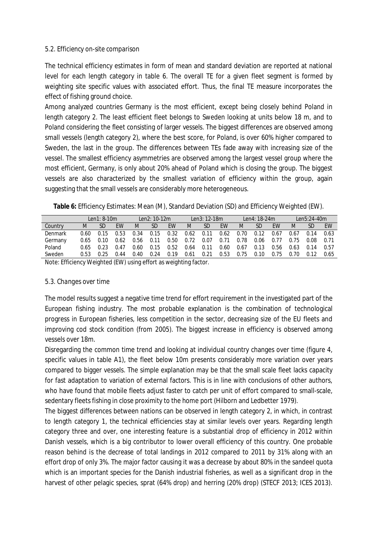### *5.2. Efficiency on-site comparison*

The technical efficiency estimates in form of mean and standard deviation are reported at national level for each length category in table 6. The overall TE for a given fleet segment is formed by weighting site specific values with associated effort. Thus, the final TE measure incorporates the effect of fishing ground choice.

Among analyzed countries Germany is the most efficient, except being closely behind Poland in length category 2. The least efficient fleet belongs to Sweden looking at units below 18 m, and to Poland considering the fleet consisting of larger vessels. The biggest differences are observed among small vessels (length category 2), where the best score, for Poland, is over 60% higher compared to Sweden, the last in the group. The differences between TEs fade away with increasing size of the vessel. The smallest efficiency asymmetries are observed among the largest vessel group where the most efficient, Germany, is only about 20% ahead of Poland which is closing the group. The biggest vessels are also characterized by the smallest variation of efficiency within the group, again suggesting that the small vessels are considerably more heterogeneous.

**Table 6:** Efficiency Estimates: Mean (M), Standard Deviation (SD) and Efficiency Weighted (EW).

|         |      | $Len1:8-10m$ |           |      | Len2: 10-12m |           |      | Len3: 12-18m |      |      | $len4:18-24m$ |           | $len5:24-40m$ |      |           |
|---------|------|--------------|-----------|------|--------------|-----------|------|--------------|------|------|---------------|-----------|---------------|------|-----------|
| Country | M    | SD           | <b>FW</b> | M    | SD           | <b>FW</b> | M    | <b>SD</b>    | EW   | M    | SD.           | <b>FW</b> | M             | SD.  | <b>FW</b> |
| Denmark | 0.60 | 0 15         | 0.53      | 0.34 | 0.15         | 0.32      | 0.62 | 0.11         | 0.62 | 0.70 | 0.12          | 0.67      | 0.67          | በ 14 | 0.63      |
| Germany | 0.65 | 0.10         | 0.62      | 0.56 | 0.11         | 0.50      | 0.72 | 0.07         | በ 71 | 0.78 | 0.06          | 0.77      | 0.75          | 0.08 | በ 71      |
| Poland  | 0.65 | O 23         | በ 47      | 0.60 | 0.15         | 0.52      | 0.64 | 0.11         | 0.60 | 0.67 | 0.13          | 0.56      | 0.63          | በ 14 | 0.57      |
| Sweden  | 0.53 | 0.25         | በ 44      | 0.40 | 0.24         | 0.19      | 0.61 | 0.21         | 0.53 | 0.75 | 0.10          | 0.75      | 0.70          | በ 12 | 0.65      |
|         |      |              |           |      |              |           |      |              |      |      |               |           |               |      |           |

Note: Efficiency Weighted (EW) using effort as weighting factor.

## *5.3. Changes over time*

The model results suggest a negative time trend for effort requirement in the investigated part of the European fishing industry. The most probable explanation is the combination of technological progress in European fisheries, less competition in the sector, decreasing size of the EU fleets and improving cod stock condition (from 2005). The biggest increase in efficiency is observed among vessels over 18m.

Disregarding the common time trend and looking at individual country changes over time (figure 4, specific values in table A1), the fleet below 10m presents considerably more variation over years compared to bigger vessels. The simple explanation may be that the small scale fleet lacks capacity for fast adaptation to variation of external factors. This is in line with conclusions of other authors, who have found that mobile fleets adjust faster to catch per unit of effort compared to small-scale, sedentary fleets fishing in close proximity to the home port (Hilborn and Ledbetter 1979).

The biggest differences between nations can be observed in length category 2, in which, in contrast to length category 1, the technical efficiencies stay at similar levels over years. Regarding length category three and over, one interesting feature is a substantial drop of efficiency in 2012 within Danish vessels, which is a big contributor to lower overall efficiency of this country. One probable reason behind is the decrease of total landings in 2012 compared to 2011 by 31% along with an effort drop of only 3%. The major factor causing it was a decrease by about 80% in the sandeel quota which is an important species for the Danish industrial fisheries, as well as a significant drop in the harvest of other pelagic species, sprat (64% drop) and herring (20% drop) (STECF 2013; ICES 2013).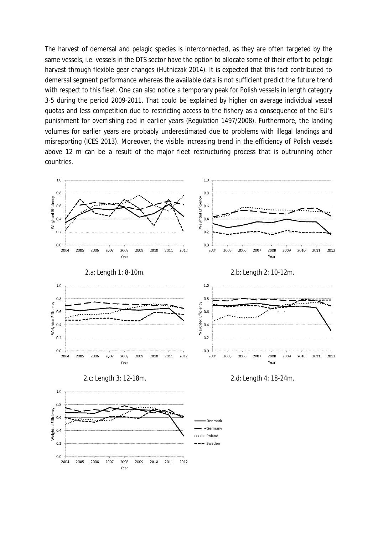The harvest of demersal and pelagic species is interconnected, as they are often targeted by the same vessels, i.e. vessels in the DTS sector have the option to allocate some of their effort to pelagic harvest through flexible gear changes (Hutniczak 2014). It is expected that this fact contributed to demersal segment performance whereas the available data is not sufficient predict the future trend with respect to this fleet. One can also notice a temporary peak for Polish vessels in length category 3-5 during the period 2009-2011. That could be explained by higher on average individual vessel quotas and less competition due to restricting access to the fishery as a consequence of the EU's punishment for overfishing cod in earlier years (Regulation 1497/2008). Furthermore, the landing volumes for earlier years are probably underestimated due to problems with illegal landings and misreporting (ICES 2013). Moreover, the visible increasing trend in the efficiency of Polish vessels above 12 m can be a result of the major fleet restructuring process that is outrunning other countries.

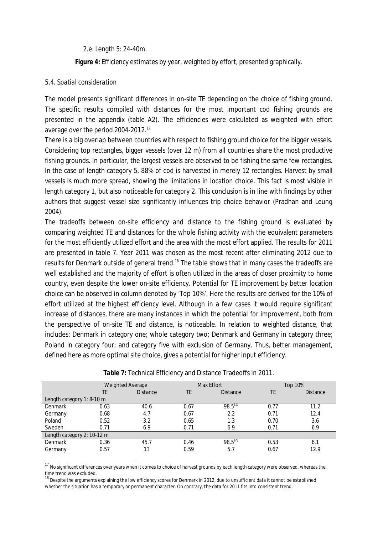2.e: Length 5: 24-40m.

**Figure 4:** Efficiency estimates by year, weighted by effort, presented graphically.

### *5.4. Spatial consideration*

The model presents significant differences in on-site TE depending on the choice of fishing ground. The specific results compiled with distances for the most important cod fishing grounds are presented in the appendix (table A2). The efficiencies were calculated as weighted with effort average over the period 2004-2012.<sup>17</sup>

There is a big overlap between countries with respect to fishing ground choice for the bigger vessels. Considering top rectangles, bigger vessels (over 12 m) from all countries share the most productive fishing grounds. In particular, the largest vessels are observed to be fishing the same few rectangles. In the case of length category 5, 88% of cod is harvested in merely 12 rectangles. Harvest by small vessels is much more spread, showing the limitations in location choice. This fact is most visible in length category 1, but also noticeable for category 2. This conclusion is in line with findings by other authors that suggest vessel size significantly influences trip choice behavior (Pradhan and Leung 2004).

The tradeoffs between on-site efficiency and distance to the fishing ground is evaluated by comparing weighted TE and distances for the whole fishing activity with the equivalent parameters for the most efficiently utilized effort and the area with the most effort applied. The results for 2011 are presented in table 7. Year 2011 was chosen as the most recent after eliminating 2012 due to results for Denmark outside of general trend.<sup>18</sup> The table shows that in many cases the tradeoffs are well established and the majority of effort is often utilized in the areas of closer proximity to home country, even despite the lower on-site efficiency. Potential for TE improvement by better location choice can be observed in column denoted by 'Top 10%'. Here the results are derived for the 10% of effort utilized at the highest efficiency level. Although in a few cases it would require significant increase of distances, there are many instances in which the potential for improvement, both from the perspective of on-site TE and distance, is noticeable. In relation to weighted distance, that includes: Denmark in category one; whole category two; Denmark and Germany in category three; Poland in category four; and category five with exclusion of Germany. Thus, better management, defined here as more optimal site choice, gives a potential for higher input efficiency.

|                            |      | Weighted Average |      | Max Effort      |      | Top 10%         |  |
|----------------------------|------|------------------|------|-----------------|------|-----------------|--|
|                            | TE   | <b>Distance</b>  | TE   | <b>Distance</b> | TE   | <b>Distance</b> |  |
| Length category 1: 8-10 m  |      |                  |      |                 |      |                 |  |
| Denmark                    | 0.63 | 40.6             | 0.67 | $98.5^{(1)}$    | 0.77 | 11.2            |  |
| Germany                    | 0.68 | 4.7              | 0.67 | 2.2             | 0.71 | 12.4            |  |
| Poland                     | 0.52 | 3.2              | 0.65 | 1.3             | 0.70 | 3.6             |  |
| Sweden                     | 0.71 | 6.9              | 0.71 | 6.9             | 0.71 | 6.9             |  |
| Length category 2: 10-12 m |      |                  |      |                 |      |                 |  |
| Denmark                    | 0.36 | 45.7             | 0.46 | $98.5^{(2)}$    | 0.53 | 6.1             |  |
| Germany                    | 0.57 | 13               | 0.59 | 5.7             | 0.67 | 12.9            |  |

**Table 7:** Technical Efficiency and Distance Tradeoffs in 2011.

<sup>17</sup> No significant differences over years when it comes to choice of harvest grounds by each length category were observed, whereas the

time trend was excluded.<br><sup>18</sup> Despite the arguments explaining the low efficiency scores for Denmark in 2012, due to unsufficient data it cannot be established whether the situation has a temporary or permanent character. On contrary, the data for 2011 fits into consistent trend.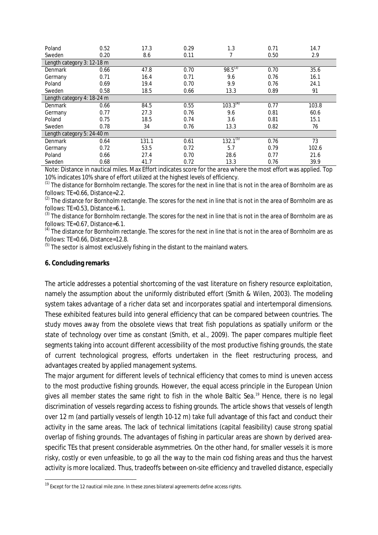| Poland                     | 0.52 | 17.3  | 0.29 | 1.3           | 0.71 | 14.7  |
|----------------------------|------|-------|------|---------------|------|-------|
| Sweden                     | 0.20 | 8.6   | 0.11 | 7             | 0.50 | 2.9   |
| Length category 3: 12-18 m |      |       |      |               |      |       |
| Denmark                    | 0.66 | 47.8  | 0.70 | $98.5^{(3)}$  | 0.70 | 35.6  |
| Germany                    | 0.71 | 16.4  | 0.71 | 9.6           | 0.76 | 16.1  |
| Poland                     | 0.69 | 19.4  | 0.70 | 9.9           | 0.76 | 24.1  |
| Sweden                     | 0.58 | 18.5  | 0.66 | 13.3          | 0.89 | 91    |
| Length category 4: 18-24 m |      |       |      |               |      |       |
| Denmark                    | 0.66 | 84.5  | 0.55 | $103.3^{(4)}$ | 0.77 | 103.8 |
| Germany                    | 0.77 | 27.3  | 0.76 | 9.6           | 0.81 | 60.6  |
| Poland                     | 0.75 | 18.5  | 0.74 | 3.6           | 0.81 | 15.1  |
| Sweden                     | 0.78 | 34    | 0.76 | 13.3          | 0.82 | 76    |
| Length category 5: 24-40 m |      |       |      |               |      |       |
| Denmark                    | 0.64 | 131.1 | 0.61 | $132.1^{57}$  | 0.76 | 73    |
| Germany                    | 0.72 | 53.5  | 0.72 | 5.7           | 0.79 | 102.6 |
| Poland                     | 0.66 | 27.4  | 0.70 | 28.6          | 0.77 | 21.6  |
| Sweden                     | 0.68 | 41.7  | 0.72 | 13.3          | 0.76 | 39.9  |

Note: Distance in nautical miles. Max Effort indicates score for the area where the most effort was applied. Top 10% indicates 10% share of effort utilized at the highest levels of efficiency.

 $^{(1)}$  The distance for Bornholm rectangle. The scores for the next in line that is not in the area of Bornholm are as follows: TE=0.66, Distance=2.2.

 $^{(2)}$  The distance for Bornholm rectangle. The scores for the next in line that is not in the area of Bornholm are as follows: TE=0.53, Distance=6.1.

 $<sup>(3)</sup>$  The distance for Bornholm rectangle. The scores for the next in line that is not in the area of Bornholm are as</sup> follows: TE=0.67, Distance=6.1.

 $<sup>(4)</sup>$  The distance for Bornholm rectangle. The scores for the next in line that is not in the area of Bornholm are as</sup> follows: TE=0.66, Distance=12.8.

 $<sup>(5)</sup>$  The sector is almost exclusively fishing in the distant to the mainland waters.</sup>

### **6. Concluding remarks**

The article addresses a potential shortcoming of the vast literature on fishery resource exploitation, namely the assumption about the uniformly distributed effort (Smith & Wilen, 2003). The modeling system takes advantage of a richer data set and incorporates spatial and intertemporal dimensions. These exhibited features build into general efficiency that can be compared between countries. The study moves away from the obsolete views that treat fish populations as spatially uniform or the state of technology over time as constant (Smith, et al., 2009). The paper compares multiple fleet segments taking into account different accessibility of the most productive fishing grounds, the state of current technological progress, efforts undertaken in the fleet restructuring process, and advantages created by applied management systems.

The major argument for different levels of technical efficiency that comes to mind is uneven access to the most productive fishing grounds. However, the equal access principle in the European Union gives all member states the same right to fish in the whole Baltic Sea.<sup>19</sup> Hence, there is no legal discrimination of vessels regarding access to fishing grounds. The article shows that vessels of length over 12 m (and partially vessels of length 10-12 m) take full advantage of this fact and conduct their activity in the same areas. The lack of technical limitations (capital feasibility) cause strong spatial overlap of fishing grounds. The advantages of fishing in particular areas are shown by derived areaspecific TEs that present considerable asymmetries. On the other hand, for smaller vessels it is more risky, costly or even unfeasible, to go all the way to the main cod fishing areas and thus the harvest activity is more localized. Thus, tradeoffs between on-site efficiency and travelled distance, especially

<sup>&</sup>lt;sup>19</sup> Except for the 12 nautical mile zone. In these zones bilateral agreements define access rights.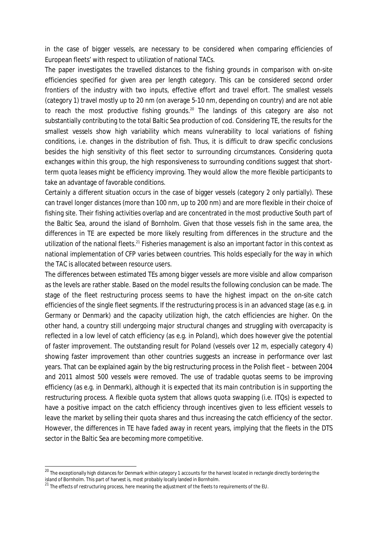in the case of bigger vessels, are necessary to be considered when comparing efficiencies of European fleets' with respect to utilization of national TACs.

The paper investigates the travelled distances to the fishing grounds in comparison with on-site efficiencies specified for given area per length category. This can be considered second order frontiers of the industry with two inputs, effective effort and travel effort. The smallest vessels (category 1) travel mostly up to 20 nm (on average 5-10 nm, depending on country) and are not able to reach the most productive fishing grounds.<sup>20</sup> The landings of this category are also not substantially contributing to the total Baltic Sea production of cod. Considering TE, the results for the smallest vessels show high variability which means vulnerability to local variations of fishing conditions, i.e. changes in the distribution of fish. Thus, it is difficult to draw specific conclusions besides the high sensitivity of this fleet sector to surrounding circumstances. Considering quota exchanges within this group, the high responsiveness to surrounding conditions suggest that shortterm quota leases might be efficiency improving. They would allow the more flexible participants to take an advantage of favorable conditions.

Certainly a different situation occurs in the case of bigger vessels (category 2 only partially). These can travel longer distances (more than 100 nm, up to 200 nm) and are more flexible in their choice of fishing site. Their fishing activities overlap and are concentrated in the most productive South part of the Baltic Sea, around the island of Bornholm. Given that those vessels fish in the same area, the differences in TE are expected be more likely resulting from differences in the structure and the utilization of the national fleets.<sup>21</sup> Fisheries management is also an important factor in this context as national implementation of CFP varies between countries. This holds especially for the way in which the TAC is allocated between resource users.

The differences between estimated TEs among bigger vessels are more visible and allow comparison as the levels are rather stable. Based on the model results the following conclusion can be made. The stage of the fleet restructuring process seems to have the highest impact on the on-site catch efficiencies of the single fleet segments. If the restructuring process is in an advanced stage (as e.g. in Germany or Denmark) and the capacity utilization high, the catch efficiencies are higher. On the other hand, a country still undergoing major structural changes and struggling with overcapacity is reflected in a low level of catch efficiency (as e.g. in Poland), which does however give the potential of faster improvement. The outstanding result for Poland (vessels over 12 m, especially category 4) showing faster improvement than other countries suggests an increase in performance over last years. That can be explained again by the big restructuring process in the Polish fleet – between 2004 and 2011 almost 500 vessels were removed. The use of tradable quotas seems to be improving efficiency (as e.g. in Denmark), although it is expected that its main contribution is in supporting the restructuring process. A flexible quota system that allows quota swapping (i.e. ITQs) is expected to have a positive impact on the catch efficiency through incentives given to less efficient vessels to leave the market by selling their quota shares and thus increasing the catch efficiency of the sector. However, the differences in TE have faded away in recent years, implying that the fleets in the DTS sector in the Baltic Sea are becoming more competitive.

<sup>&</sup>lt;sup>20</sup> The exceptionally high distances for Denmark within category 1 accounts for the harvest located in rectangle directly bordering the island of Bornholm. This part of harvest is, most probably locally landed in Bornholm.

<sup>&</sup>lt;sup>21</sup> The effects of restructuring process, here meaning the adjustment of the fleets to requirements of the EU.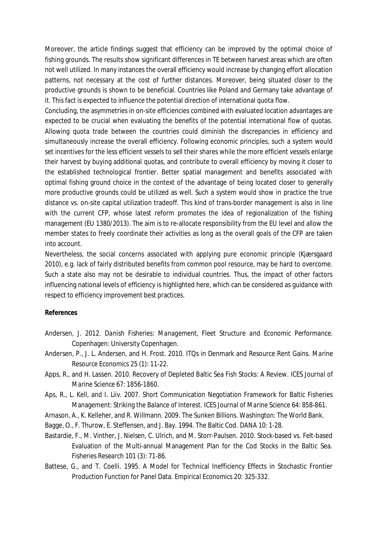Moreover, the article findings suggest that efficiency can be improved by the optimal choice of fishing grounds. The results show significant differences in TE between harvest areas which are often not well utilized. In many instances the overall efficiency would increase by changing effort allocation patterns, not necessary at the cost of further distances. Moreover, being situated closer to the productive grounds is shown to be beneficial. Countries like Poland and Germany take advantage of it. This fact is expected to influence the potential direction of international quota flow.

Concluding, the asymmetries in on-site efficiencies combined with evaluated location advantages are expected to be crucial when evaluating the benefits of the potential international flow of quotas. Allowing quota trade between the countries could diminish the discrepancies in efficiency and simultaneously increase the overall efficiency. Following economic principles, such a system would set incentives for the less efficient vessels to sell their shares while the more efficient vessels enlarge their harvest by buying additional quotas, and contribute to overall efficiency by moving it closer to the established technological frontier. Better spatial management and benefits associated with optimal fishing ground choice in the context of the advantage of being located closer to generally more productive grounds could be utilized as well. Such a system would show in practice the true distance vs. on-site capital utilization tradeoff. This kind of trans-border management is also in line with the current CFP, whose latest reform promotes the idea of regionalization of the fishing management (EU 1380/2013). The aim is to re-allocate responsibility from the EU level and allow the member states to freely coordinate their activities as long as the overall goals of the CFP are taken into account.

Nevertheless, the social concerns associated with applying pure economic principle (Kjærsgaard 2010), e.g. lack of fairly distributed benefits from common pool resource, may be hard to overcome. Such a state also may not be desirable to individual countries. Thus, the impact of other factors influencing national levels of efficiency is highlighted here, which can be considered as guidance with respect to efficiency improvement best practices.

### **References**

- Andersen, J. 2012. *Danish Fisheries: Management, Fleet Structure and Economic Performance.* Copenhagen: University Copenhagen.
- Andersen, P., J. L. Andersen, and H. Frost. 2010. ITQs in Denmark and Resource Rent Gains. *Marine Resource Economics* 25 (1): 11-22.
- Apps, R., and H. Lassen. 2010. Recovery of Depleted Baltic Sea Fish Stocks: A Review. *ICES Journal of Marine Science* 67: 1856-1860.
- Aps, R., L. Kell, and I. Liiv. 2007. Short Communication Negotiation Framework for Baltic Fisheries Management: Striking the Balance of Interest. *ICES Journal of Marine Science* 64: 858-861.
- Arnason, A., K. Kelleher, and R. Willmann. 2009. *The Sunken Billions.* Washington: The World Bank.
- Bagge, O., F. Thurow, E. Steffensen, and J. Bay. 1994. The Baltic Cod. *DANA* 10: 1-28.
- Bastardie, F., M. Vinther, J. Nielsen, C. Ulrich, and M. Storr-Paulsen. 2010. Stock-based vs. Felt-based Evaluation of the Multi-annual Management Plan for the Cod Stocks in the Baltic Sea. *Fisheries Research* 101 (3): 71-86.
- Battese, G., and T. Coelli. 1995. A Model for Technical Inefficiency Effects in Stochastic Frontier Production Function for Panel Data. *Empirical Economics* 20: 325-332.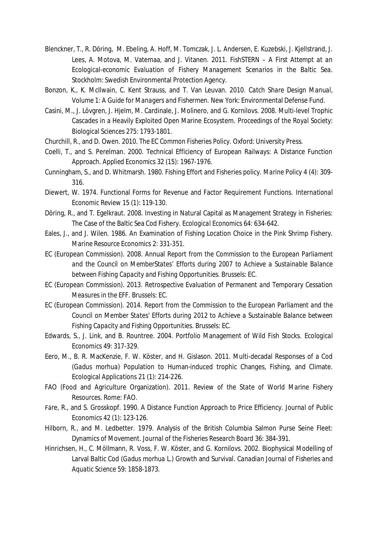- Blenckner, T., R. Döring, M. Ebeling, A. Hoff, M. Tomczak, J. L. Andersen, E. Kuzebski, J. Kjellstrand, J. Lees, A. Motova, M. Vatemaa, and J. Vitanen. 2011. *FishSTERN – A First Attempt at an Ecological-economic Evaluation of Fishery Management Scenarios in the Baltic Sea.* Stockholm: Swedish Environmental Protection Agency.
- Bonzon, K., K. McIlwain, C. Kent Strauss, and T. Van Leuvan. 2010. *Catch Share Design Manual, Volume 1: A Guide for Managers and Fishermen.* New York: Environmental Defense Fund.
- Casini, M., J. Lövgren, J. Hjelm, M. Cardinale, J. Molinero, and G. Kornilovs. 2008. Multi-level Trophic Cascades in a Heavily Exploited Open Marine Ecosystem. *Proceedings of the Royal Society: Biological Sciences* 275: 1793-1801.
- Churchill, R., and D. Owen. 2010. *The EC Common Fisheries Policy.* Oxford: University Press.
- Coelli, T., and S. Perelman. 2000. Technical Efficiency of European Railways: A Distance Function Approach. *Applied Economics* 32 (15): 1967-1976.
- Cunningham, S., and D. Whitmarsh. 1980. Fishing Effort and Fisheries policy. *Marine Policy* 4 (4): 309- 316.
- Diewert, W. 1974. Functional Forms for Revenue and Factor Requirement Functions. *International Economic Review* 15 (1): 119-130.
- Döring, R., and T. Egelkraut. 2008. Investing in Natural Capital as Management Strategy in Fisheries: The Case of the Baltic Sea Cod Fishery. *Ecological Economics* 64: 634-642.
- Eales, J., and J. Wilen. 1986. An Examination of Fishing Location Choice in the Pink Shrimp Fishery. *Marine Resource Economics* 2: 331-351.
- EC (European Commission). 2008. Annual *Report from the Commission to the European Parliament and the Council on MemberStates' Efforts during 2007 to Achieve a Sustainable Balance between Fishing Capacity and Fishing Opportunities.* Brussels: EC.
- EC (European Commission). 2013. *Retrospective Evaluation of Permanent and Temporary Cessation Measures in the EFF.* Brussels: EC.
- EC (European Commission). 2014. *Report from the Commission to the European Parliament and the Council on Member States' Efforts during 2012 to Achieve a Sustainable Balance between Fishing Capacity and Fishing Opportunities.* Brussels: EC.
- Edwards, S., J. Link, and B. Rountree. 2004. Portfolio Management of Wild Fish Stocks. *Ecological Economics* 49: 317-329.
- Eero, M., B. R. MacKenzie, F. W. Köster, and H. Gislason. 2011. Multi-decadal Responses of a Cod (*Gadus morhua*) Population to Human-induced trophic Changes, Fishing, and Climate. *Ecological Applications* 21 (1): 214-226.
- FAO (Food and Agriculture Organization). 2011. *Review of the State of World Marine Fishery Resources.* Rome: FAO.
- Fӓre, R., and S. Grosskopf. 1990. A Distance Function Approach to Price Efficiency. *Journal of Public Economics* 42 (1): 123-126.
- Hilborn, R., and M. Ledbetter. 1979. Analysis of the British Columbia Salmon Purse Seine Fleet: Dynamics of Movement. *Journal of the Fisheries Research Board* 36: 384-391.
- Hinrichsen, H., C. Möllmann, R. Voss, F. W. Köster, and G. Kornilovs. 2002. Biophysical Modelling of Larval Baltic Cod (*Gadus morhua* L.) Growth and Survival. *Canadian Journal of Fisheries and Aquatic Science* 59: 1858-1873.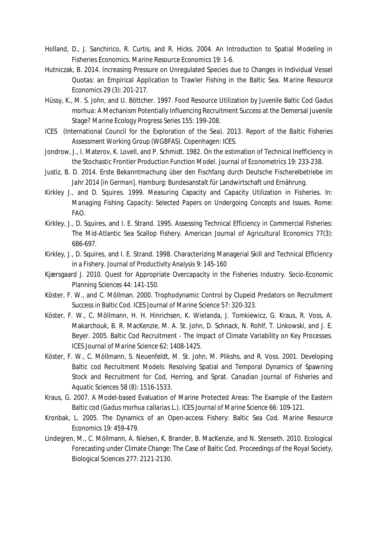- Holland, D., J. Sanchirico, R. Curtis, and R. Hicks. 2004. An Introduction to Spatial Modeling in Fisheries Economics. *Marine Resource Economics* 19: 1-6.
- Hutniczak, B. 2014. Increasing Pressure on Unregulated Species due to Changes in Individual Vessel Quotas: an Empirical Application to Trawler Fishing in the Baltic Sea. *Marine Resource Economics* 29 (3): 201-217.
- Hüssy, K., M. S. John, and U. Böttcher. 1997. Food Resource Utilization by Juvenile Baltic Cod *Gadus morhua*: A Mechanism Potentially Influencing Recruitment Success at the Demersal Juvenile Stage? *Marine Ecology Progress Series* 155: 199-208.
- ICES (International Council for the Exploration of the Sea). 2013. *Report of the Baltic Fisheries Assessment Working Group (WGBFAS).* Copenhagen: ICES.
- Jondrow, J., I. Materov, K. Lovell, and P. Schmidt. 1982. On the estimation of Technical Inefficiency in the Stochastic Frontier Production Function Model. *Journal of Econometrics* 19: 233-238.
- Justiz, B. D. 2014. *Erste Bekanntmachung über den Fischfang durch Deutsche Fischereibetriebe im Jahr 2014 [in German].* Hamburg: Bundesanstalt für Landwirtschaft und Ernährung.
- Kirkley J., and D. Squires. 1999. Measuring Capacity and Capacity Utilization in Fisheries. In: *Managing Fishing Capacity: Selected Papers on Undergoing Concepts and Issues*. Rome: FAO.
- Kirkley, J., D. Squires, and I. E. Strand. 1995. Assessing Technical Efficiency in Commercial Fisheries: The Mid-Atlantic Sea Scallop Fishery. *American Journal of Agricultural Economics* 77(3): 686-697.
- Kirkley, J., D. Squires, and I. E. Strand. 1998. Characterizing Managerial Skill and Technical Efficiency in a Fishery. *Journal of Productivity Analysis* 9: 145-160
- Kjærsgaard J. 2010. Quest for Appropriate Overcapacity in the Fisheries Industry. *Socio-Economic Planning Sciences* 44: 141-150.
- Köster, F. W., and C. Möllman. 2000. Trophodynamic Control by Clupeid Predators on Recruitment Success in Baltic Cod. *ICES Journal of Marine Science* 57: 320-323.
- Köster, F. W., C. Möllmann, H. H. Hinrichsen, K. Wielanda, J. Tomkiewicz, G. Kraus, R. Voss, A. Makarchouk, B. R. MacKenzie, M. A. St. John, D. Schnack, N. Rohlf, T. Linkowski, and J. E. Beyer. 2005. Baltic Cod Recruitment - The Impact of Climate Variability on Key Processes. *ICES Journal of Marine Science* 62: 1408-1425.
- Köster, F. W., C. Möllmann, S. Neuenfeldt, M. St. John, M. Plikshs, and R. Voss. 2001. Developing Baltic cod Recruitment Models: Resolving Spatial and Temporal Dynamics of Spawning Stock and Recruitment for Cod, Herring, and Sprat. *Canadian Journal of Fisheries and Aquatic Sciences* 58 (8): 1516-1533.
- Kraus, G. 2007. A Model-based Evaluation of Marine Protected Areas: The Example of the Eastern Baltic cod (*Gadus morhua callarias* L.). *ICES Journal of Marine Science* 66: 109-121.
- Kronbak, L. 2005. The Dynamics of an Open-access Fishery: Baltic Sea Cod. *Marine Resource Economics* 19: 459-479.
- Lindegren, M., C. Möllmann, A. Nielsen, K. Brander, B. MacKenzie, and N. Stenseth. 2010. Ecological Forecasting under Climate Change: The Case of Baltic Cod. *Proceedings of the Royal Society, Biological Sciences* 277: 2121-2130.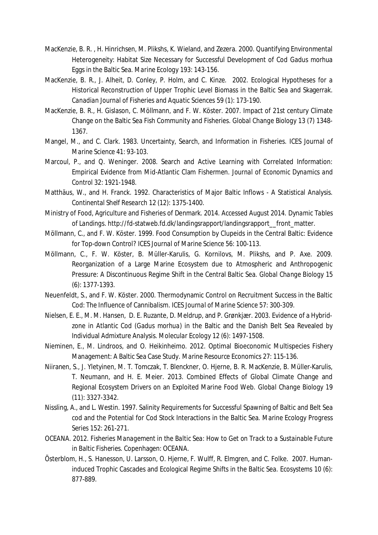- MacKenzie, B. R. , H. Hinrichsen, M. Plikshs, K. Wieland, and Zezera. 2000. Quantifying Environmental Heterogeneity: Habitat Size Necessary for Successful Development of Cod *Gadus morhua* Eggs in the Baltic Sea. *Marine Ecology* 193: 143-156.
- MacKenzie, B. R., J. Alheit, D. Conley, P. Holm, and C. Kinze. 2002. Ecological Hypotheses for a Historical Reconstruction of Upper Trophic Level Biomass in the Baltic Sea and Skagerrak. *Canadian Journal of Fisheries and Aquatic Sciences* 59 (1): 173-190.
- MacKenzie, B. R., H. Gislason, C. Möllmann, and F. W. Köster. 2007. Impact of 21st century Climate Change on the Baltic Sea Fish Community and Fisheries. *Global Change Biology* 13 (7) 1348- 1367.
- Mangel, M., and C. Clark. 1983. Uncertainty, Search, and Information in Fisheries. *ICES Journal of Marine Science* 41: 93-103.
- Marcoul, P., and Q. Weninger. 2008. Search and Active Learning with Correlated Information: Empirical Evidence from Mid-Atlantic Clam Fishermen. *Journal of Economic Dynamics and Control* 32: 1921-1948.
- Matthäus, W., and H. Franck. 1992. Characteristics of Major Baltic Inflows A Statistical Analysis. *Continental Shelf Research* 12 (12): 1375-1400.
- Ministry of Food, Agriculture and Fisheries of Denmark. 2014. Accessed August 2014. *Dynamic Tables of Landings.* http://fd-statweb.fd.dk/landingsrapport/landingsrapport\_\_front\_matter.
- Möllmann, C., and F. W. Köster. 1999. Food Consumption by Clupeids in the Central Baltic: Evidence for Top-down Control? *ICES Journal of Marine Science* 56: 100-113.
- Möllmann, C., F. W. Köster, B. Müller-Karulis, G. Kornilovs, M. Plikshs, and P. Axe. 2009. Reorganization of a Large Marine Ecosystem due to Atmospheric and Anthropogenic Pressure: A Discontinuous Regime Shift in the Central Baltic Sea. *Global Change Biology* 15 (6): 1377-1393.
- Neuenfeldt, S., and F. W. Köster. 2000. Thermodynamic Control on Recruitment Success in the Baltic Cod: The Influence of Cannibalism. *ICES Journal of Marine Science* 57: 300-309.
- Nielsen, E. E., M. M. Hansen, D. E. Ruzante, D. Meldrup, and P. Grønkjær. 2003. Evidence of a Hybridzone in Atlantic Cod (*Gadus morhua*) in the Baltic and the Danish Belt Sea Revealed by Individual Admixture Analysis. *Molecular Ecology* 12 (6): 1497-1508.
- Nieminen, E., M. Lindroos, and O. Heikinheimo. 2012. Optimal Bioeconomic Multispecies Fishery Management: A Baltic Sea Case Study. *Marine Resource Economics* 27: 115-136.
- Niiranen, S., J. Yletyinen, M. T. Tomczak, T. Blenckner, O. Hjerne, B. R. MacKenzie, B. Müller-Karulis, T. Neumann, and H. E. Meier. 2013. Combined Effects of Global Climate Change and Regional Ecosystem Drivers on an Exploited Marine Food Web. *Global Change Biology* 19 (11): 3327-3342.
- Nissling, A., and L. Westin. 1997. Salinity Requirements for Successful Spawning of Baltic and Belt Sea cod and the Potential for Cod Stock Interactions in the Baltic Sea. *Marine Ecology Progress Series* 152: 261-271.
- OCEANA. 2012. *Fisheries Management in the Baltic Sea: How to Get on Track to a Sustainable Future in Baltic Fisheries.* Copenhagen: OCEANA.
- Österblom, H., S. Hanesson, U. Larsson, O. Hjerne, F. Wulff, R. Elmgren, and C. Folke. 2007. Humaninduced Trophic Cascades and Ecological Regime Shifts in the Baltic Sea. *Ecosystems* 10 (6): 877-889.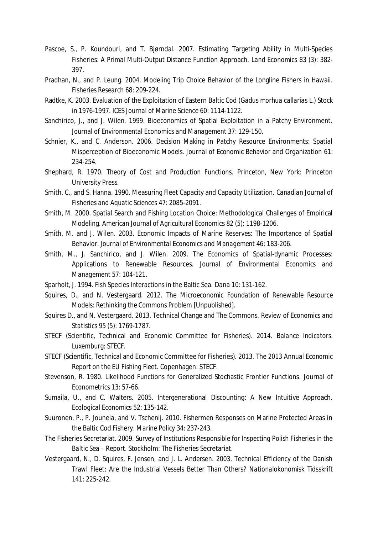- Pascoe, S., P. Koundouri, and T. Bjørndal. 2007. Estimating Targeting Ability in Multi-Species Fisheries: A Primal Multi-Output Distance Function Approach. *Land Economics* 83 (3): 382- 397.
- Pradhan, N., and P. Leung. 2004. Modeling Trip Choice Behavior of the Longline Fishers in Hawaii. *Fisheries Research* 68: 209-224.
- Radtke, K. 2003. Evaluation of the Exploitation of Eastern Baltic Cod (*Gadus morhua callarias* L.) Stock in 1976-1997. *ICES Journal of Marine Science* 60: 1114-1122.
- Sanchirico, J., and J. Wilen. 1999. Bioeconomics of Spatial Exploitation in a Patchy Environment. *Journal of Environmental Economics and Management* 37: 129-150.
- Schnier, K., and C. Anderson. 2006. Decision Making in Patchy Resource Environments: Spatial Misperception of Bioeconomic Models. *Journal of Economic Behavior and Organization* 61: 234-254.
- Shephard, R. 1970. *Theory of Cost and Production Functions.* Princeton, New York: Princeton University Press.
- Smith, C., and S. Hanna. 1990. Measuring Fleet Capacity and Capacity Utilization. *Canadian Journal of Fisheries and Aquatic Sciences* 47: 2085-2091.
- Smith, M. 2000. Spatial Search and Fishing Location Choice: Methodological Challenges of Empirical Modeling. *American Journal of Agricultural Economics* 82 (5): 1198-1206.
- Smith, M. and J. Wilen. 2003. Economic Impacts of Marine Reserves: The Importance of Spatial Behavior. *Journal of Environmental Economics and Management* 46: 183-206.
- Smith, M., J. Sanchirico, and J. Wilen. 2009. The Economics of Spatial-dynamic Processes: Applications to Renewable Resources. *Journal of Environmental Economics and Management* 57: 104-121.
- Sparholt, J. 1994. Fish Species Interactions in the Baltic Sea. *Dana* 10: 131-162.
- Squires, D., and N. Vestergaard. 2012. *The Microeconomic Foundation of Renewable Resource Models: Rethinking the Commons Problem* [Unpublished].
- Squires D., and N. Vestergaard. 2013. Technical Change and The Commons. *Review of Economics and Statistics* 95 (5): 1769-1787.
- STECF (Scientific, Technical and Economic Committee for Fisheries). 2014. *Balance Indicators*. Luxemburg: STECF.
- STECF (Scientific, Technical and Economic Committee for Fisheries). 2013. *The 2013 Annual Economic Report on the EU Fishing Fleet.* Copenhagen: STECF.
- Stevenson, R. 1980. Likelihood Functions for Generalized Stochastic Frontier Functions. *Journal of Econometrics* 13: 57-66.
- Sumaila, U., and C. Walters. 2005. Intergenerational Discounting: A New Intuitive Approach. *Ecological Economics* 52: 135-142.
- Suuronen, P., P. Jounela, and V. Tschenij. 2010. Fishermen Responses on Marine Protected Areas in the Baltic Cod Fishery. *Marine Policy* 34: 237-243.
- The Fisheries Secretariat. 2009. *Survey of Institutions Responsible for Inspecting Polish Fisheries in the Baltic Sea – Report.* Stockholm: The Fisheries Secretariat.
- Vestergaard, N., D. Squires, F. Jensen, and J. L. Andersen. 2003. Technical Efficiency of the Danish Trawl Fleet: Are the Industrial Vessels Better Than Others? *Nationalokonomisk Tidsskrift* 141: 225-242.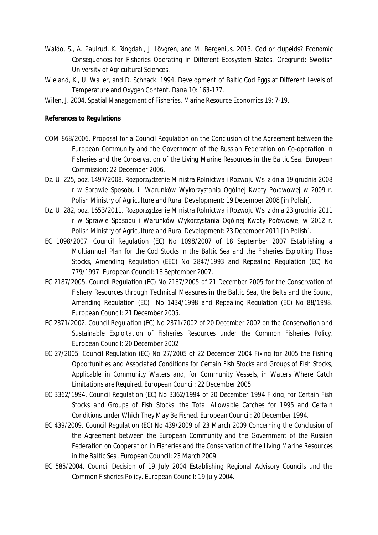- Waldo, S., A. Paulrud, K. Ringdahl, J. Lövgren, and M. Bergenius. 2013. *Cod or clupeids? Economic Consequences for Fisheries Operating in Different Ecosystem States.* Öregrund: Swedish University of Agricultural Sciences.
- Wieland, K., U. Waller, and D. Schnack. 1994. Development of Baltic Cod Eggs at Different Levels of Temperature and Oxygen Content. *Dana* 10: 163-177.
- Wilen, J. 2004. Spatial Management of Fisheries. *Marine Resource Economics* 19: 7-19.

**References to Regulations**

- COM 868/2006. *Proposal for a Council Regulation on the Conclusion of the Agreement between the European Community and the Government of the Russian Federation on Co-operation in Fisheries and the Conservation of the Living Marine Resources in the Baltic Sea.* European Commission: 22 December 2006.
- Dz. U. 225, poz. 1497/2008. *Rozporządzenie Ministra Rolnictwa i Rozwoju Wsi z dnia 19 grudnia 2008 r w Sprawie Sposobu i Warunków Wykorzystania Ogólnej Kwoty Połowowej w 2009 r.* Polish Ministry of Agriculture and Rural Development: 19 December 2008 [*in Polish*].
- Dz. U. 282, poz. 1653/2011. *Rozporządzenie Ministra Rolnictwa i Rozwoju Wsi z dnia 23 grudnia 2011 r w Sprawie Sposobu i Warunków Wykorzystania Ogólnej Kwoty Połowowej w 2012 r.* Polish Ministry of Agriculture and Rural Development: 23 December 2011 [*in Polish*].
- EC 1098/2007. *Council Regulation (EC) No 1098/2007 of 18 September 2007 Establishing a Multiannual Plan for the Cod Stocks in the Baltic Sea and the Fisheries Exploiting Those Stocks, Amending Regulation (EEC) No 2847/1993 and Repealing Regulation (EC) No 779/1997*. European Council: 18 September 2007.
- EC 2187/2005. *Council Regulation (EC) No 2187/2005 of 21 December 2005 for the Conservation of Fishery Resources through Technical Measures in the Baltic Sea, the Belts and the Sound, Amending Regulation (EC) No 1434/1998 and Repealing Regulation (EC) No 88/1998*. European Council: 21 December 2005.
- EC 2371/2002. *Council Regulation (EC) No 2371/2002 of 20 December 2002 on the Conservation and Sustainable Exploitation of Fisheries Resources under the Common Fisheries Policy*. European Council: 20 December 2002
- EC 27/2005. *Council Regulation (EC) No 27/2005 of 22 December 2004 Fixing for 2005 the Fishing Opportunities and Associated Conditions for Certain Fish Stocks and Groups of Fish Stocks, Applicable in Community Waters and, for Community Vessels, in Waters Where Catch Limitations are Required*. European Council: 22 December 2005.
- EC 3362/1994. *Council Regulation (EC) No 3362/1994 of 20 December 1994 Fixing, for Certain Fish Stocks and Groups of Fish Stocks, the Total Allowable Catches for 1995 and Certain Conditions under Which They May Be Fished*. European Council: 20 December 1994.
- EC 439/2009. *Council Regulation (EC) No 439/2009 of 23 March 2009 Concerning the Conclusion of the Agreement between the European Community and the Government of the Russian Federation on Cooperation in Fisheries and the Conservation of the Living Marine Resources in the Baltic Sea*. European Council: 23 March 2009.
- EC 585/2004. *Council Decision of 19 July 2004 Establishing Regional Advisory Councils und the Common Fisheries Policy*. European Council: 19 July 2004.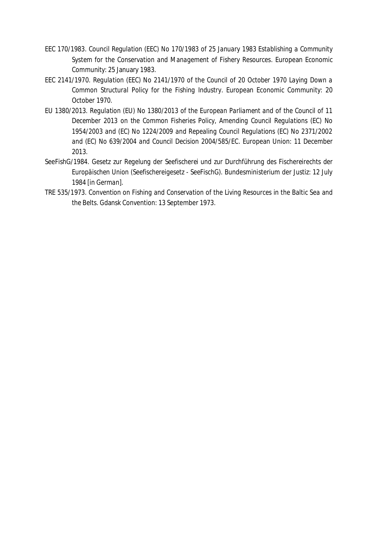- EEC 170/1983. *Council Regulation (EEC) No 170/1983 of 25 January 1983 Establishing a Community System for the Conservation and Management of Fishery Resources*. European Economic Community: 25 January 1983.
- EEC 2141/1970. *Regulation (EEC) No 2141/1970 of the Council of 20 October 1970 Laying Down a Common Structural Policy for the Fishing Industry*. European Economic Community: 20 October 1970.
- EU 1380/2013. *Regulation (EU) No 1380/2013 of the European Parliament and of the Council of 11 December 2013 on the Common Fisheries Policy, Amending Council Regulations (EC) No 1954/2003 and (EC) No 1224/2009 and Repealing Council Regulations (EC) No 2371/2002 and (EC) No 639/2004 and Council Decision 2004/585/EC*. European Union: 11 December 2013.
- SeeFishG/1984. *Gesetz zur Regelung der Seefischerei und zur Durchführung des Fischereirechts der Europäischen Union (Seefischereigesetz - SeeFischG).* Bundesministerium der Justiz: 12 July 1984 [*in German*].
- TRE 535/1973. *Convention on Fishing and Conservation of the Living Resources in the Baltic Sea and the Belts*. Gdansk Convention: 13 September 1973.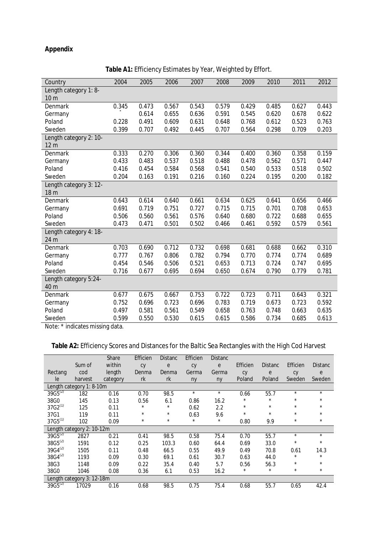# **Appendix**

| Country                                   | 2004  | 2005  | 2006  | 2007  | 2008  | 2009  | 2010  | 2011  | 2012  |
|-------------------------------------------|-------|-------|-------|-------|-------|-------|-------|-------|-------|
| Length category 1: 8-<br>10 <sub>m</sub>  |       |       |       |       |       |       |       |       |       |
| Denmark                                   | 0.345 | 0.473 | 0.567 | 0.543 | 0.579 | 0.429 | 0.485 | 0.627 | 0.443 |
| Germany                                   |       | 0.614 | 0.655 | 0.636 | 0.591 | 0.545 | 0.620 | 0.678 | 0.622 |
| Poland                                    | 0.228 | 0.491 | 0.609 | 0.631 | 0.648 | 0.768 | 0.612 | 0.523 | 0.763 |
| Sweden                                    | 0.399 | 0.707 | 0.492 | 0.445 | 0.707 | 0.564 | 0.298 | 0.709 | 0.203 |
| Length category 2: 10-<br>12 <sub>m</sub> |       |       |       |       |       |       |       |       |       |
| Denmark                                   | 0.333 | 0.270 | 0.306 | 0.360 | 0.344 | 0.400 | 0.360 | 0.358 | 0.159 |
| Germany                                   | 0.433 | 0.483 | 0.537 | 0.518 | 0.488 | 0.478 | 0.562 | 0.571 | 0.447 |
| Poland                                    | 0.416 | 0.454 | 0.584 | 0.568 | 0.541 | 0.540 | 0.533 | 0.518 | 0.502 |
| Sweden                                    | 0.204 | 0.163 | 0.191 | 0.216 | 0.160 | 0.224 | 0.195 | 0.200 | 0.182 |
| Length category 3: 12-<br>18 <sub>m</sub> |       |       |       |       |       |       |       |       |       |
| Denmark                                   | 0.643 | 0.614 | 0.640 | 0.661 | 0.634 | 0.625 | 0.641 | 0.656 | 0.466 |
| Germany                                   | 0.691 | 0.719 | 0.751 | 0.727 | 0.715 | 0.715 | 0.701 | 0.708 | 0.653 |
| Poland                                    | 0.506 | 0.560 | 0.561 | 0.576 | 0.640 | 0.680 | 0.722 | 0.688 | 0.655 |
| Sweden                                    | 0.473 | 0.471 | 0.501 | 0.502 | 0.466 | 0.461 | 0.592 | 0.579 | 0.561 |
| Length category 4: 18-<br>24 m            |       |       |       |       |       |       |       |       |       |
| Denmark                                   | 0.703 | 0.690 | 0.712 | 0.732 | 0.698 | 0.681 | 0.688 | 0.662 | 0.310 |
| Germany                                   | 0.777 | 0.767 | 0.806 | 0.782 | 0.794 | 0.770 | 0.774 | 0.774 | 0.689 |
| Poland                                    | 0.454 | 0.546 | 0.506 | 0.521 | 0.653 | 0.713 | 0.724 | 0.747 | 0.695 |
| Sweden                                    | 0.716 | 0.677 | 0.695 | 0.694 | 0.650 | 0.674 | 0.790 | 0.779 | 0.781 |
| Length category 5:24-                     |       |       |       |       |       |       |       |       |       |
| 40 m                                      |       |       |       |       |       |       |       |       |       |
| Denmark                                   | 0.677 | 0.675 | 0.667 | 0.753 | 0.722 | 0.723 | 0.711 | 0.643 | 0.321 |
| Germany                                   | 0.752 | 0.696 | 0.723 | 0.696 | 0.783 | 0.719 | 0.673 | 0.723 | 0.592 |
| Poland                                    | 0.497 | 0.581 | 0.561 | 0.549 | 0.658 | 0.763 | 0.748 | 0.663 | 0.635 |
| Sweden                                    | 0.599 | 0.550 | 0.530 | 0.615 | 0.615 | 0.586 | 0.734 | 0.685 | 0.613 |

**Table A1:** Efficiency Estimates by Year, Weighted by Effort.

Note: \* indicates missing data.

# **Table A2:** Efficiency Scores and Distances for the Baltic Sea Rectangles with the High Cod Harvest

|              |                           | Share    | Efficien | <b>Distanc</b> | Efficien   | <b>Distanc</b> |          |                |          |                |
|--------------|---------------------------|----------|----------|----------------|------------|----------------|----------|----------------|----------|----------------|
|              | Sum of                    | within   | Cy       | e              | Cy         | e              | Efficien | <b>Distanc</b> | Efficien | <b>Distanc</b> |
| Rectang      | cod                       | length   | Denma    | Denma          | Germa      | Germa          | Cy       | e              | Cy       | e              |
| le           | harvest                   | category | rk       | rk             | ny         | ny             | Poland   | Poland         | Sweden   | Sweden         |
|              | Length category 1: 8-10m  |          |          |                |            |                |          |                |          |                |
| $39G5^{(2)}$ | 182                       | 0.16     | 0.70     | 98.5           | $\star$    | $\star$        | 0.66     | 55.7           | $\star$  | $\star$        |
| 38G0         | 145                       | 0.13     | 0.56     | 6.1            | 0.86       | 16.2           | $\star$  | $\star$        | $\star$  | $\star$        |
| $37G2^{(1)}$ | 125                       | 0.11     | $\star$  | $^{\star}$     | 0.62       | 2.2            | $\star$  | $\star$        | $\star$  | $\star$        |
| 37G1         | 119                       | 0.11     | $\star$  | $^\star$       | 0.63       | 9.6            | $\star$  | $\star$        | $\star$  | $\star$        |
| $37G5^{(1)}$ | 102                       | 0.09     | $^\star$ | $^{\star}$     | $^{\star}$ | $\star$        | 0.80     | 9.9            | $\star$  | $\star$        |
|              | Length category 2: 10-12m |          |          |                |            |                |          |                |          |                |
| $39G5^{(2)}$ | 2827                      | 0.21     | 0.41     | 98.5           | 0.58       | 75.4           | 0.70     | 55.7           | $\star$  | $\star$        |
| $38G5^{(2)}$ | 1591                      | 0.12     | 0.25     | 103.3          | 0.60       | 64.4           | 0.69     | 33.0           | $\star$  | $\star$        |
| $39G4^{(2)}$ | 1505                      | 0.11     | 0.48     | 66.5           | 0.55       | 49.9           | 0.49     | 70.8           | 0.61     | 14.3           |
| $38G4^{(2)}$ | 1193                      | 0.09     | 0.30     | 69.1           | 0.61       | 30.7           | 0.63     | 44.0           | *        | $\star$        |
| 38G3         | 1148                      | 0.09     | 0.22     | 35.4           | 0.40       | 5.7            | 0.56     | 56.3           | $\star$  | $\star$        |
| 38G0         | 1046                      | 0.08     | 0.36     | 6.1            | 0.53       | 16.2           | $\star$  | $\star$        | $\star$  | $\star$        |
|              | Length category 3: 12-18m |          |          |                |            |                |          |                |          |                |
| $39G5^{(2)}$ | 17029                     | 0.16     | 0.68     | 98.5           | 0.75       | 75.4           | 0.68     | 55.7           | 0.65     | 42.4           |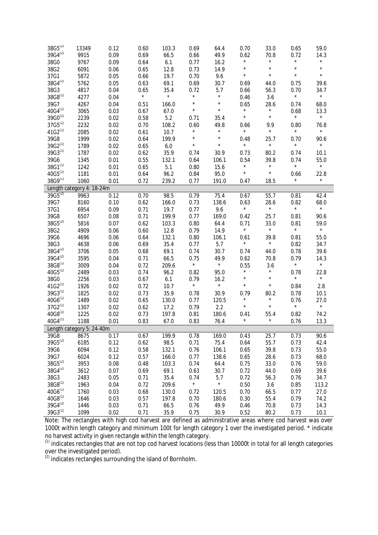| $38G5^{(2)}$              | 13349                     | 0.12 | 0.60    | 103.3      | 0.69       | 64.4    | 0.70       | 33.0       | 0.65    | 59.0    |
|---------------------------|---------------------------|------|---------|------------|------------|---------|------------|------------|---------|---------|
| $39G4^{(2)}$              | 9915                      | 0.09 | 0.69    | 66.5       | 0.66       | 49.9    | 0.62       | 70.8       | 0.72    | 14.3    |
| 38G0                      | 9767                      | 0.09 | 0.64    | 6.1        | 0.77       | 16.2    | $^{\star}$ | $\star$    | $\star$ | $\star$ |
| 38G2                      | 6091                      | 0.06 | 0.65    | 12.8       | 0.73       | 14.9    | $\star$    | $\star$    | $\star$ | $\star$ |
| 37G1                      | 5872                      | 0.05 | 0.66    | 19.7       | 0.70       | 9.6     | $\star$    | $\star$    | $\star$ | $\star$ |
| $38G4^{(2)}$              | 5762                      | 0.05 | 0.63    | 69.1       | 0.69       | 30.7    | 0.69       | 44.0       | 0.75    | 39.6    |
| 38G3                      | 4817                      | 0.04 | 0.65    | 35.4       | 0.72       | 5.7     | 0.66       | 56.3       | 0.70    | 34.7    |
| $38G8^{(1)}$              | 4277                      | 0.04 | $\star$ | $^{\star}$ | $\star$    | $\star$ | 0.46       | 3.6        | $\star$ | $\star$ |
| 39G7                      | 4267                      | 0.04 | 0.51    | 166.0      | $\star$    | $\star$ | 0.65       | 28.6       | 0.74    | 68.0    |
| $40G4^{(1)}$              | 3065                      | 0.03 | 0.67    | 67.0       | $\star$    | $\star$ | $\star$    | $\star$    | 0.68    | 13.3    |
| $39G0^{(1)}$              | 2239                      | 0.02 | 0.58    | 5.2        | 0.71       | 35.4    | $\star$    | $\star$    | $\star$ | $\star$ |
| $37G5^{(1)}$              | 2232                      | 0.02 | 0.70    | 108.2      | 0.60       | 49.8    | 0.66       | 9.9        | 0.80    | 76.8    |
| $41G2^{(1)}$              | 2085                      | 0.02 | 0.61    | 10.7       | $^{\star}$ | $\star$ | $\star$    | $\star$    | $\star$ | $\star$ |
| 39G8                      | 1999                      | 0.02 | 0.64    | 199.9      | $^{\star}$ | $\star$ | 0.48       | 25.7       | 0.70    | 90.6    |
| $39G2^{(1)}$              | 1789                      | 0.02 | 0.65    | 6.0        | $\star$    | $\star$ | $\star$    | $^{\star}$ | $\star$ | $\star$ |
| $39G3^{(1)}$              | 1787                      | 0.02 | 0.62    | 35.9       | 0.74       | 30.9    | 0.73       | 80.2       | 0.74    | 10.1    |
| 39G6                      | 1345                      | 0.01 | 0.55    | 132.1      | 0.64       | 106.1   | 0.54       | 39.8       | 0.74    | 55.0    |
| $38G1^{(1)}$              | 1242                      | 0.01 | 0.65    | 5.1        | 0.80       | 15.6    | $\star$    | $^{\star}$ | $\star$ | $\star$ |
| $40G5^{(1)}$              | 1181                      | 0.01 | 0.64    | 96.2       | 0.84       | 95.0    | $\star$    | $\star$    | 0.66    | 22.8    |
| 38G9(1)                   | 1060                      | 0.01 | 0.72    | 239.2      | 0.77       | 191.0   | 0.47       | 18.5       | $\star$ | $\star$ |
|                           | Length category 4: 18-24m |      |         |            |            |         |            |            |         |         |
| $39G5^{(2)}$              | 9963                      | 0.12 | 0.70    | 98.5       | 0.79       | 75.4    | 0.67       | 55.7       | 0.81    | 42.4    |
| 39G7                      | 8160                      | 0.10 | 0.62    | 166.0      | 0.73       | 138.6   | 0.63       | 28.6       | 0.82    | 68.0    |
| 37G1                      | 6954                      | 0.09 | 0.71    | 19.7       | 0.77       | 9.6     | $\star$    | $\star$    | $\star$ | $\star$ |
| 39G8                      | 6507                      | 0.08 | 0.71    | 199.9      | 0.77       | 169.0   | 0.42       | 25.7       | 0.81    | 90.6    |
| $38G5^{(2)}$              | 5816                      | 0.07 | 0.62    | 103.3      | 0.80       | 64.4    | 0.71       | 33.0       | 0.81    | 59.0    |
| 38G2                      | 4909                      | 0.06 | 0.60    | 12.8       | 0.79       | 14.9    | $\star$    | $\star$    | $\star$ | $\star$ |
| 39G6                      | 4696                      | 0.06 | 0.64    | 132.1      | 0.80       | 106.1   | 0.61       | 39.8       | 0.81    | 55.0    |
| 38G3                      | 4638                      | 0.06 | 0.69    | 35.4       | 0.77       | 5.7     | $\star$    | $\star$    | 0.82    | 34.7    |
| $38G4^{(2)}$              | 3706                      | 0.05 | 0.68    | 69.1       | 0.74       | 30.7    | 0.74       | 44.0       | 0.78    | 39.6    |
| 39G4 <sup>(2)</sup>       | 3595                      | 0.04 | 0.71    | 66.5       | 0.75       | 49.9    | 0.62       | 70.8       | 0.79    | 14.3    |
| $38G8^{(1)}$              | 3009                      | 0.04 | 0.72    | 209.6      | $\star$    | $\star$ | 0.55       | 3.6        | $\star$ | $\star$ |
| $40G5^{(1)}$              | 2489                      | 0.03 | 0.74    | 96.2       | 0.82       | 95.0    | $^{\star}$ | $^{\star}$ | 0.78    | 22.8    |
| 38G0                      | 2256                      | 0.03 | 0.67    | 6.1        | 0.79       | 16.2    | $\star$    | $\star$    | $\star$ | $\star$ |
| $41G2^{(1)}$              | 1926                      | 0.02 | 0.72    | 10.7       | $\star$    | $\star$ | $\star$    | $\star$    | 0.84    | 2.8     |
| $39G3^{(1)}$              | 1825                      | 0.02 | 0.73    | 35.9       | 0.78       | 30.9    | 0.79       | 80.2       | 0.78    | 10.1    |
| $40G6^{(1)}$              | 1489                      | 0.02 | 0.65    | 130.0      | 0.77       | 120.5   | $^{\star}$ | $^{\star}$ | 0.76    | 27.0    |
| $37G2^{(1)}$              | 1307                      | 0.02 | 0.62    | 17.2       | 0.79       | 2.2     | $\star$    | $\star$    | $\star$ | $\star$ |
| $40G8^{(1)}$              | 1225                      | 0.02 | 0.73    | 197.8      | 0.81       | 180.6   | 0.41       | 55.4       | 0.82    | 74.2    |
| $40G4^{(1)}$              | 1188                      | 0.01 | 0.83    | 67.0       | 0.83       | 76.4    | $\star$    | $^{\star}$ | 0.76    | 13.3    |
| Length category 5: 24-40m |                           |      |         |            |            |         |            |            |         |         |
| 39G8                      | 8675                      | 0.17 | 0.67    | 199.9      | 0.78       | 169.0   | 0.43       | 25.7       | 0.73    | 90.6    |
| $39G5^{(2)}$              | 6185                      | 0.12 | 0.62    | 98.5       | 0.71       | 75.4    | 0.64       | 55.7       | 0.73    | 42.4    |
| 39G6                      | 6094                      | 0.12 | 0.58    | 132.1      | 0.76       | 106.1   | 0.65       | 39.8       | 0.73    | 55.0    |
| 39G7                      | 6024                      | 0.12 | 0.57    | 166.0      | 0.77       | 138.6   | 0.65       | 28.6       | 0.73    | 68.0    |
| $38G5^{(2)}$              | 3953                      | 0.08 | 0.48    | 103.3      | 0.74       | 64.4    | 0.75       | 33.0       | 0.76    | 59.0    |
| $38G4^{(2)}$              | 3612                      | 0.07 | 0.69    | 69.1       | 0.63       | 30.7    | 0.72       | 44.0       | 0.69    | 39.6    |
| 38G3                      | 2483                      | 0.05 | 0.71    | 35.4       | 0.74       | 5.7     | 0.72       | 56.3       | 0.76    | 34.7    |
| 38G8 <sup>(1)</sup>       | 1963                      | 0.04 | 0.72    | 209.6      | $^{\star}$ | $\star$ | 0.50       | 3.6        | 0.85    | 113.2   |
| $40G6^{(1)}$              | 1760                      | 0.03 | 0.68    | 130.0      | 0.72       | 120.5   | 0.70       | 66.5       | 0.77    | 27.0    |
| $40G8^{(1)}$              | 1646                      | 0.03 | 0.57    | 197.8      | 0.70       | 180.6   | 0.30       | 55.4       | 0.79    | 74.2    |
| 39G4 <sup>(2)</sup>       | 1446                      | 0.03 | 0.71    | 66.5       | 0.76       | 49.9    | 0.46       | 70.8       | 0.73    | 14.3    |
| $39G3^{(1)}$              | 1099                      | 0.02 | 0.71    | 35.9       | 0.75       | 30.9    | 0.52       | 80.2       | 0.73    | 10.1    |

Note: The rectangles with high cod harvest are defined as administrative areas where cod harvest was over 1000t within length category and minimum 100t for length category 1 over the investigated period. \* indicate no harvest activity in given rectangle within the length category.

 $^{(1)}$  indicates rectangles that are not top cod harvest locations (less than 10000t in total for all length categories over the investigated period).

 $<sup>(2)</sup>$  indicates rectangles surrounding the island of Bornholm.</sup>